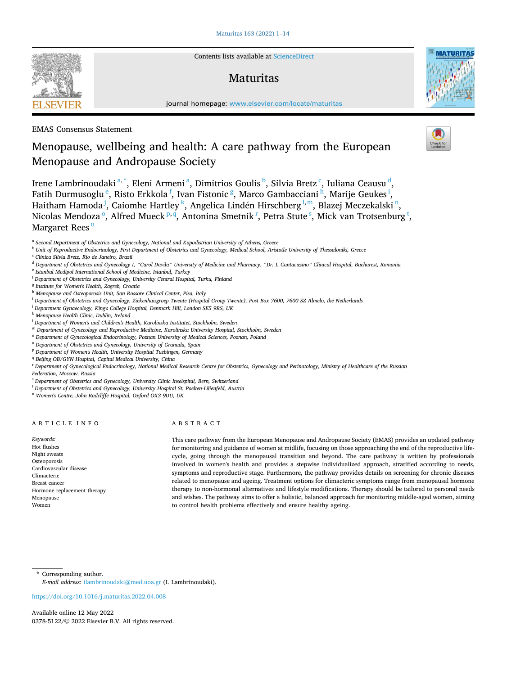

Contents lists available at [ScienceDirect](www.sciencedirect.com/science/journal/03785122)

# **Maturitas**



journal homepage: [www.elsevier.com/locate/maturitas](https://www.elsevier.com/locate/maturitas)

## EMAS Consensus Statement

# Menopause, wellbeing and health: A care pathway from the European Menopause and Andropause Society

Irene Lambrinoudaki<sup>a,\*</sup>, Eleni Armeni<sup>a</sup>, Dimitrios Goulis<sup>b</sup>, Silvia Bretz<sup>c</sup>, Iuliana Ceausu<sup>d</sup>, Fatih Durmusoglu  $\mathrm{^e}$ , Risto Erkkola  $\mathrm{^f}$ , Ivan Fistonic  $\mathrm{^g}$ , Marco Gambacciani  $\mathrm{^h}$ , Marije Geukes  $\mathrm{^i}$ , Haitham Hamoda <sup>j</sup>, Caiomhe Hartley <sup>k</sup>, Angelica Lindén Hirschberg <sup>l,m</sup>, Blazej Meczekalski <sup>n</sup>, Nicolas Mendoza<sup>o</sup>, Alfred Mueck<sup>p,q</sup>, Antonina Smetnik<sup>r</sup>, Petra Stute<sup>s</sup>, Mick van Trotsenburg<sup>t</sup>, Margaret Rees<sup>u</sup>

- <sup>b</sup> *Unit of Reproductive Endocrinology, First Department of Obstetrics and Gynecology, Medical School, Aristotle University of Thessaloniki, Greece*
- <sup>c</sup> *Clinica Silvia Bretz, Rio de Janeiro, Brazil*

<sup>d</sup> *Department of Obstetrics and Gynecology I, "Carol Davila" University of Medicine and Pharmacy, "Dr. I. Cantacuzino" Clinical Hospital, Bucharest, Romania* 

- <sup>e</sup> *Istanbul Medipol International School of Medicine, Istanbul, Turkey*
- <sup>f</sup> *Department of Obstetrics and Gynecology, University Central Hospital, Turku, Finland*
- <sup>g</sup> *Institute for Women's Health, Zagreb, Croatia*
- <sup>h</sup> *Menopause and Osteoporosis Unit, San Rossore Clinical Center, Pisa, Italy*
- <sup>i</sup> *Department of Obstetrics and Gynecology, Ziekenhuisgroep Twente (Hospital Group Twente), Post Box 7600, 7600 SZ Almelo, the Netherlands*
- <sup>j</sup> *Department Gynaecology, King's College Hospital, Denmark Hill, London SE5 9RS, UK*
- <sup>k</sup> *Menopause Health Clinic, Dublin, Ireland*
- <sup>l</sup> *Department of Women's and Children's Health, Karolinska Institutet, Stockholm, Sweden*
- <sup>m</sup> *Department of Gynecology and Reproductive Medicine, Karolinska University Hospital, Stockholm, Sweden*
- <sup>n</sup> *Department of Gynecological Endocrinology, Poznan University of Medical Sciences, Poznan, Poland*
- <sup>o</sup> *Department of Obstetrics and Gynecology, University of Granada, Spain*
- <sup>p</sup> *Department of Women's Health, University Hospital Tuebingen, Germany*
- <sup>q</sup> *Beijing OB/GYN Hospital, Capital Medical University, China*

<sup>r</sup> *Department of Gynecological Endocrinology, National Medical Research Centre for Obstetrics, Gynecology and Perinatology, Ministry of Healthcare of the Russian Federation, Moscow, Russia* 

- <sup>s</sup> *Department of Obstetrics and Gynecology, University Clinic Inselspital, Bern, Switzerland*
- <sup>t</sup> *Department of Obstetrics and Gynecology, University Hospital St. Poelten-Lilienfeld, Austria*
- <sup>u</sup> *Women's Centre, John Radcliffe Hospital, Oxford OX3 9DU, UK*

## ARTICLE INFO

Hormone replacement therapy

*Keywords:*  Hot flushes Night sweats Osteoporosis Cardiovascular disease Climacteric Breast cancer

Menopause Women

## ABSTRACT

This care pathway from the European Menopause and Andropause Society (EMAS) provides an updated pathway for monitoring and guidance of women at midlife, focusing on those approaching the end of the reproductive lifecycle, going through the menopausal transition and beyond. The care pathway is written by professionals involved in women's health and provides a stepwise individualized approach, stratified according to needs, symptoms and reproductive stage. Furthermore, the pathway provides details on screening for chronic diseases related to menopause and ageing. Treatment options for climacteric symptoms range from menopausal hormone therapy to non-hormonal alternatives and lifestyle modifications. Therapy should be tailored to personal needs and wishes. The pathway aims to offer a holistic, balanced approach for monitoring middle-aged women, aiming to control health problems effectively and ensure healthy ageing.

\* Corresponding author. *E-mail address:* [ilambrinoudaki@med.uoa.gr](mailto:ilambrinoudaki@med.uoa.gr) (I. Lambrinoudaki).

<https://doi.org/10.1016/j.maturitas.2022.04.008>



<sup>a</sup> *Second Department of Obstetrics and Gynecology, National and Kapodistrian University of Athens, Greece*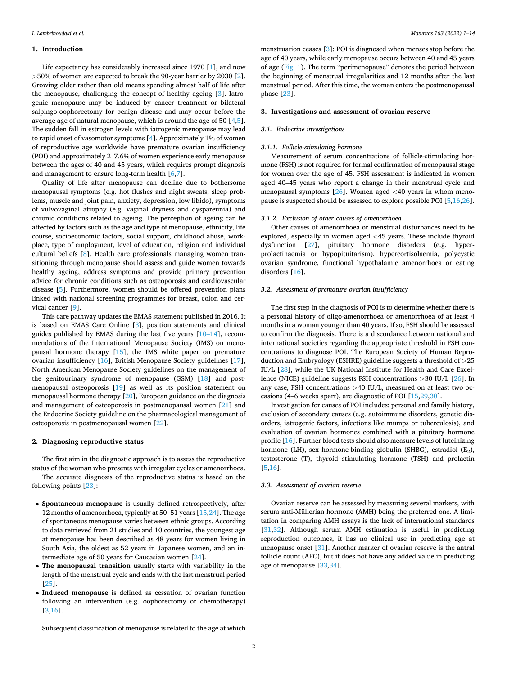## **1. Introduction**

Life expectancy has considerably increased since 1970 [\[1\]](#page-8-0), and now *>*50% of women are expected to break the 90-year barrier by 2030 [[2](#page-8-0)]. Growing older rather than old means spending almost half of life after the menopause, challenging the concept of healthy ageing [[3](#page-8-0)]. Iatrogenic menopause may be induced by cancer treatment or bilateral salpingo-oophorectomy for benign disease and may occur before the average age of natural menopause, which is around the age of 50 [[4](#page-9-0),[5](#page-9-0)]. The sudden fall in estrogen levels with iatrogenic menopause may lead to rapid onset of vasomotor symptoms [\[4\]](#page-9-0). Approximately 1% of women of reproductive age worldwide have premature ovarian insufficiency (POI) and approximately 2–7.6% of women experience early menopause between the ages of 40 and 45 years, which requires prompt diagnosis and management to ensure long-term health [[6,7\]](#page-9-0).

Quality of life after menopause can decline due to bothersome menopausal symptoms (e.g. hot flushes and night sweats, sleep problems, muscle and joint pain, anxiety, depression, low libido), symptoms of vulvovaginal atrophy (e.g. vaginal dryness and dyspareunia) and chronic conditions related to ageing. The perception of ageing can be affected by factors such as the age and type of menopause, ethnicity, life course, socioeconomic factors, social support, childhood abuse, workplace, type of employment, level of education, religion and individual cultural beliefs [[8](#page-9-0)]. Health care professionals managing women transitioning through menopause should assess and guide women towards healthy ageing, address symptoms and provide primary prevention advice for chronic conditions such as osteoporosis and cardiovascular disease [\[5\]](#page-9-0). Furthermore, women should be offered prevention plans linked with national screening programmes for breast, colon and cervical cancer [[9](#page-9-0)].

This care pathway updates the EMAS statement published in 2016. It is based on EMAS Care Online [[3](#page-8-0)], position statements and clinical guides published by EMAS during the last five years [10–[14\]](#page-9-0), recommendations of the International Menopause Society (IMS) on menopausal hormone therapy [\[15](#page-9-0)], the IMS white paper on premature ovarian insufficiency [[16\]](#page-9-0), British Menopause Society guidelines [\[17](#page-9-0)], North American Menopause Society guidelines on the management of the genitourinary syndrome of menopause (GSM) [[18\]](#page-9-0) and postmenopausal osteoporosis [[19\]](#page-9-0) as well as its position statement on menopausal hormone therapy [\[20](#page-9-0)], European guidance on the diagnosis and management of osteoporosis in postmenopausal women [\[21](#page-9-0)] and the Endocrine Society guideline on the pharmacological management of osteoporosis in postmenopausal women [[22\]](#page-9-0).

## **2. Diagnosing reproductive status**

The first aim in the diagnostic approach is to assess the reproductive status of the woman who presents with irregular cycles or amenorrhoea. The accurate diagnosis of the reproductive status is based on the following points [[23\]](#page-9-0):

- **Spontaneous menopause** is usually defined retrospectively, after 12 months of amenorrhoea, typically at 50–51 years [\[15,24](#page-9-0)]. The age of spontaneous menopause varies between ethnic groups. According to data retrieved from 21 studies and 10 countries, the youngest age at menopause has been described as 48 years for women living in South Asia, the oldest as 52 years in Japanese women, and an intermediate age of 50 years for Caucasian women [[24\]](#page-9-0).
- **The menopausal transition** usually starts with variability in the length of the menstrual cycle and ends with the last menstrual period [[25\]](#page-9-0).
- **Induced menopause** is defined as cessation of ovarian function following an intervention (e.g. oophorectomy or chemotherapy) [[3](#page-8-0),[16\]](#page-9-0).

menstruation ceases [\[3](#page-8-0)]: POI is diagnosed when menses stop before the age of 40 years, while early menopause occurs between 40 and 45 years of age ([Fig. 1\)](#page-2-0). The term "perimenopause" denotes the period between the beginning of menstrual irregularities and 12 months after the last menstrual period. After this time, the woman enters the postmenopausal phase [[23\]](#page-9-0).

#### **3. Investigations and assessment of ovarian reserve**

#### *3.1. Endocrine investigations*

## *3.1.1. Follicle-stimulating hormone*

Measurement of serum concentrations of follicle-stimulating hormone (FSH) is not required for formal confirmation of menopausal stage for women over the age of 45. FSH assessment is indicated in women aged 40–45 years who report a change in their menstrual cycle and menopausal symptoms [[26\]](#page-9-0). Women aged *<*40 years in whom menopause is suspected should be assessed to explore possible POI [\[5,16,26](#page-9-0)].

## *3.1.2. Exclusion of other causes of amenorrhoea*

Other causes of amenorrhoea or menstrual disturbances need to be explored, especially in women aged *<*45 years. These include thyroid dysfunction [\[27](#page-9-0)], pituitary hormone disorders (e.g. hyperprolactinaemia or hypopituitarism), hypercortisolaemia, polycystic ovarian syndrome, functional hypothalamic amenorrhoea or eating disorders [[16\]](#page-9-0).

#### *3.2. Assessment of premature ovarian insufficiency*

The first step in the diagnosis of POI is to determine whether there is a personal history of oligo-amenorrhoea or amenorrhoea of at least 4 months in a woman younger than 40 years. If so, FSH should be assessed to confirm the diagnosis. There is a discordance between national and international societies regarding the appropriate threshold in FSH concentrations to diagnose POI. The European Society of Human Reproduction and Embryology (ESHRE) guideline suggests a threshold of *>*25 IU/L [\[28](#page-9-0)], while the UK National Institute for Health and Care Excellence (NICE) guideline suggests FSH concentrations *>*30 IU/L [\[26](#page-9-0)]. In any case, FSH concentrations *>*40 IU/L, measured on at least two occasions (4–6 weeks apart), are diagnostic of POI [[15,29,30](#page-9-0)].

Investigation for causes of POI includes: personal and family history, exclusion of secondary causes (e.g. autoimmune disorders, genetic disorders, iatrogenic factors, infections like mumps or tuberculosis), and evaluation of ovarian hormones combined with a pituitary hormone profile [[16\]](#page-9-0). Further blood tests should also measure levels of luteinizing hormone (LH), sex hormone-binding globulin (SHBG), estradiol  $(E_2)$ , testosterone (T), thyroid stimulating hormone (TSH) and prolactin [[5](#page-9-0),[16\]](#page-9-0).

#### *3.3. Assessment of ovarian reserve*

Ovarian reserve can be assessed by measuring several markers, with serum anti-Müllerian hormone (AMH) being the preferred one. A limitation in comparing AMH assays is the lack of international standards [[31,32](#page-9-0)]. Although serum AMH estimation is useful in predicting reproduction outcomes, it has no clinical use in predicting age at menopause onset [\[31](#page-9-0)]. Another marker of ovarian reserve is the antral follicle count (AFC), but it does not have any added value in predicting age of menopause [[33,34](#page-9-0)].

Subsequent classification of menopause is related to the age at which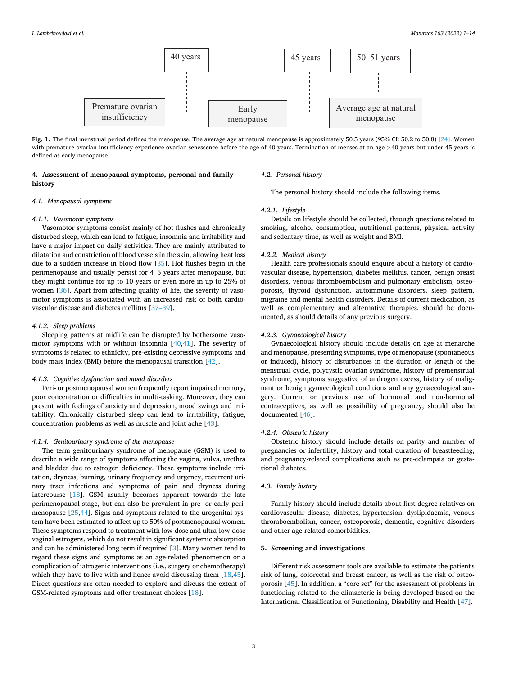<span id="page-2-0"></span>

**Fig. 1.** The final menstrual period defines the menopause. The average age at natural menopause is approximately 50.5 years (95% CI: 50.2 to 50.8) [\[24](#page-9-0)]. Women with premature ovarian insufficiency experience ovarian senescence before the age of 40 years. Termination of menses at an age >40 years but under 45 years is defined as early menopause.

## **4. Assessment of menopausal symptoms, personal and family history**

## *4.2. Personal history*

The personal history should include the following items.

## *4.1. Menopausal symptoms*

## *4.1.1. Vasomotor symptoms*

Vasomotor symptoms consist mainly of hot flushes and chronically disturbed sleep, which can lead to fatigue, insomnia and irritability and have a major impact on daily activities. They are mainly attributed to dilatation and constriction of blood vessels in the skin, allowing heat loss due to a sudden increase in blood flow [[35\]](#page-9-0). Hot flushes begin in the perimenopause and usually persist for 4–5 years after menopause, but they might continue for up to 10 years or even more in up to 25% of women [[36\]](#page-9-0). Apart from affecting quality of life, the severity of vasomotor symptoms is associated with an increased risk of both cardiovascular disease and diabetes mellitus [37–[39\]](#page-9-0).

## *4.1.2. Sleep problems*

Sleeping patterns at midlife can be disrupted by bothersome vasomotor symptoms with or without insomnia [[40,41\]](#page-9-0). The severity of symptoms is related to ethnicity, pre-existing depressive symptoms and body mass index (BMI) before the menopausal transition [\[42](#page-9-0)].

#### *4.1.3. Cognitive dysfunction and mood disorders*

Peri- or postmenopausal women frequently report impaired memory, poor concentration or difficulties in multi-tasking. Moreover, they can present with feelings of anxiety and depression, mood swings and irritability. Chronically disturbed sleep can lead to irritability, fatigue, concentration problems as well as muscle and joint ache [\[43](#page-9-0)].

## *4.1.4. Genitourinary syndrome of the menopause*

The term genitourinary syndrome of menopause (GSM) is used to describe a wide range of symptoms affecting the vagina, vulva, urethra and bladder due to estrogen deficiency. These symptoms include irritation, dryness, burning, urinary frequency and urgency, recurrent urinary tract infections and symptoms of pain and dryness during intercourse [\[18](#page-9-0)]. GSM usually becomes apparent towards the late perimenopausal stage, but can also be prevalent in pre- or early perimenopause [\[25,44](#page-9-0)]. Signs and symptoms related to the urogenital system have been estimated to affect up to 50% of postmenopausal women. These symptoms respond to treatment with low-dose and ultra-low-dose vaginal estrogens, which do not result in significant systemic absorption and can be administered long term if required [[3](#page-8-0)]. Many women tend to regard these signs and symptoms as an age-related phenomenon or a complication of iatrogenic interventions (i.e., surgery or chemotherapy) which they have to live with and hence avoid discussing them [[18,45](#page-9-0)]. Direct questions are often needed to explore and discuss the extent of GSM-related symptoms and offer treatment choices [[18\]](#page-9-0).

## *4.2.1. Lifestyle*

Details on lifestyle should be collected, through questions related to smoking, alcohol consumption, nutritional patterns, physical activity and sedentary time, as well as weight and BMI.

## *4.2.2. Medical history*

Health care professionals should enquire about a history of cardiovascular disease, hypertension, diabetes mellitus, cancer, benign breast disorders, venous thromboembolism and pulmonary embolism, osteoporosis, thyroid dysfunction, autoimmune disorders, sleep pattern, migraine and mental health disorders. Details of current medication, as well as complementary and alternative therapies, should be documented, as should details of any previous surgery.

## *4.2.3. Gynaecological history*

Gynaecological history should include details on age at menarche and menopause, presenting symptoms, type of menopause (spontaneous or induced), history of disturbances in the duration or length of the menstrual cycle, polycystic ovarian syndrome, history of premenstrual syndrome, symptoms suggestive of androgen excess, history of malignant or benign gynaecological conditions and any gynaecological surgery. Current or previous use of hormonal and non-hormonal contraceptives, as well as possibility of pregnancy, should also be documented [[46\]](#page-10-0).

## *4.2.4. Obstetric history*

Obstetric history should include details on parity and number of pregnancies or infertility, history and total duration of breastfeeding, and pregnancy-related complications such as pre-eclampsia or gestational diabetes.

## *4.3. Family history*

Family history should include details about first-degree relatives on cardiovascular disease, diabetes, hypertension, dyslipidaemia, venous thromboembolism, cancer, osteoporosis, dementia, cognitive disorders and other age-related comorbidities.

## **5. Screening and investigations**

Different risk assessment tools are available to estimate the patient's risk of lung, colorectal and breast cancer, as well as the risk of osteoporosis [\[45](#page-9-0)]. In addition, a "core set" for the assessment of problems in functioning related to the climacteric is being developed based on the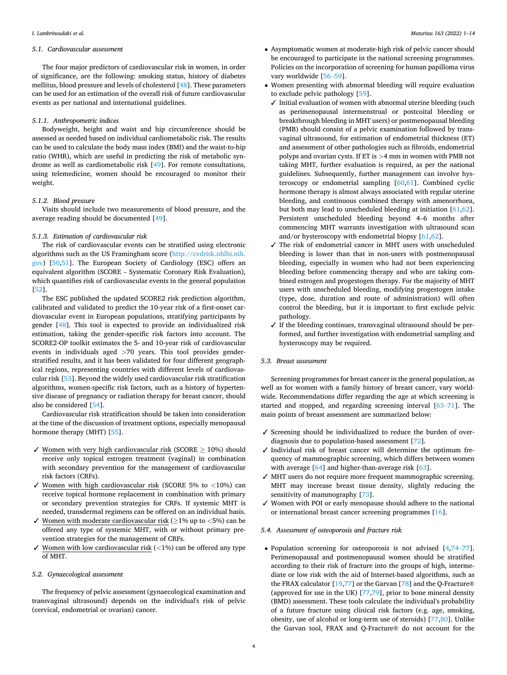#### *5.1. Cardiovascular assessment*

The four major predictors of cardiovascular risk in women, in order of significance, are the following: smoking status, history of diabetes mellitus, blood pressure and levels of cholesterol [\[48](#page-10-0)]. These parameters can be used for an estimation of the overall risk of future cardiovascular events as per national and international guidelines.

#### *5.1.1. Anthropometric indices*

Bodyweight, height and waist and hip circumference should be assessed as needed based on individual cardiometabolic risk. The results can be used to calculate the body mass index (BMI) and the waist-to-hip ratio (WHR), which are useful in predicting the risk of metabolic syndrome as well as cardiometabolic risk [\[49](#page-10-0)]. For remote consultations, using telemedicine, women should be encouraged to monitor their weight.

## *5.1.2. Blood pressure*

Visits should include two measurements of blood pressure, and the average reading should be documented [\[49](#page-10-0)].

## *5.1.3. Estimation of cardiovascular risk*

The risk of cardiovascular events can be stratified using electronic algorithms such as the US Framingham score [\(http://cvdrisk.nhlbi.nih.](http://cvdrisk.nhlbi.nih.gov)  [gov](http://cvdrisk.nhlbi.nih.gov)) [\[50,51](#page-10-0)]. The European Society of Cardiology (ESC) offers an equivalent algorithm (SCORE – Systematic Coronary Risk Evaluation), which quantifies risk of cardiovascular events in the general population [[52\]](#page-10-0).

The ESC published the updated SCORE2 risk prediction algorithm, calibrated and validated to predict the 10-year risk of a first-onset cardiovascular event in European populations, stratifying participants by gender [[48\]](#page-10-0). This tool is expected to provide an individualized risk estimation, taking the gender-specific risk factors into account. The SCORE2-OP toolkit estimates the 5- and 10-year risk of cardiovascular events in individuals aged *>*70 years. This tool provides genderstratified results, and it has been validated for four different geographical regions, representing countries with different levels of cardiovascular risk [\[53](#page-10-0)]. Beyond the widely used cardiovascular risk stratification algorithms, women-specific risk factors, such as a history of hypertensive disease of pregnancy or radiation therapy for breast cancer, should also be considered [[54](#page-10-0)].

Cardiovascular risk stratification should be taken into consideration at the time of the discussion of treatment options, especially menopausal hormone therapy (MHT) [\[55](#page-10-0)].

- ✓ Women with very high cardiovascular risk (SCORE ≥ 10%) should receive only topical estrogen treatment (vaginal) in combination with secondary prevention for the management of cardiovascular risk factors (CRFs).
- ✓ Women with high cardiovascular risk (SCORE 5% to *<*10%) can receive topical hormone replacement in combination with primary or secondary prevention strategies for CRFs. If systemic MHT is needed, transdermal regimens can be offered on an individual basis.
- ✓ Women with moderate cardiovascular risk (≥1% up to *<*5%) can be offered any type of systemic MHT, with or without primary prevention strategies for the management of CRFs.
- ✓ Women with low cardiovascular risk (*<*1%) can be offered any type of MHT.

## *5.2. Gynaecological assessment*

The frequency of pelvic assessment (gynaecological examination and transvaginal ultrasound) depends on the individual's risk of pelvic (cervical, endometrial or ovarian) cancer.

- Asymptomatic women at moderate-high risk of pelvic cancer should be encouraged to participate in the national screening programmes. Policies on the incorporation of screening for human papilloma virus vary worldwide [56–[59\]](#page-10-0).
- Women presenting with abnormal bleeding will require evaluation to exclude pelvic pathology [[59\]](#page-10-0).
	- $\checkmark$  Initial evaluation of women with abnormal uterine bleeding (such as perimenopausal intermenstrual or postcoital bleeding or breakthrough bleeding in MHT users) or postmenopausal bleeding (PMB) should consist of a pelvic examination followed by transvaginal ultrasound, for estimation of endometrial thickness (ET) and assessment of other pathologies such as fibroids, endometrial polyps and ovarian cysts. If ET is *>*4 mm in women with PMB not taking MHT, further evaluation is required, as per the national guidelines. Subsequently, further management can involve hysteroscopy or endometrial sampling [\[60](#page-10-0),[61\]](#page-10-0). Combined cyclic hormone therapy is almost always associated with regular uterine bleeding, and continuous combined therapy with amenorrhoea, but both may lead to unscheduled bleeding at initiation [[61,62](#page-10-0)]. Persistent unscheduled bleeding beyond 4–6 months after commencing MHT warrants investigation with ultrasound scan and/or hysteroscopy with endometrial biopsy [\[61](#page-10-0),[62\]](#page-10-0).
	- ✓ The risk of endometrial cancer in MHT users with unscheduled bleeding is lower than that in non-users with postmenopausal bleeding, especially in women who had not been experiencing bleeding before commencing therapy and who are taking combined estrogen and progestogen therapy. For the majority of MHT users with unscheduled bleeding, modifying progestogen intake (type, dose, duration and route of administration) will often control the bleeding, but it is important to first exclude pelvic pathology.
	- ✓ If the bleeding continues, transvaginal ultrasound should be performed, and further investigation with endometrial sampling and hysteroscopy may be required.

#### *5.3. Breast assessment*

Screening programmes for breast cancer in the general population, as well as for women with a family history of breast cancer, vary worldwide. Recommendations differ regarding the age at which screening is started and stopped, and regarding screening interval [63–[71\]](#page-10-0). The main points of breast assessment are summarized below:

- ✓ Screening should be individualized to reduce the burden of overdiagnosis due to population-based assessment [[72\]](#page-10-0).
- ✓ Individual risk of breast cancer will determine the optimum frequency of mammographic screening, which differs between women with average [\[64](#page-10-0)] and higher-than-average risk [[63\]](#page-10-0).
- ✓ MHT users do not require more frequent mammographic screening. MHT may increase breast tissue density, slightly reducing the sensitivity of mammography [\[73](#page-10-0)].
- ✓ Women with POI or early menopause should adhere to the national or international breast cancer screening programmes [\[16](#page-9-0)].

## *5.4. Assessment of osteoporosis and fracture risk*

• Population screening for osteoporosis is not advised [\[4](#page-9-0)[,74](#page-10-0)–77]. Perimenopausal and postmenopausal women should be stratified according to their risk of fracture into the groups of high, intermediate or low risk with the aid of Internet-based algorithms, such as the FRAX calculator [\[19](#page-9-0),[77\]](#page-10-0) or the Garvan [[78\]](#page-10-0) and the Q-Fracture® (approved for use in the UK) [[77,79\]](#page-10-0), prior to bone mineral density (BMD) assessment. These tools calculate the individual's probability of a future fracture using clinical risk factors (e.g. age, smoking, obesity, use of alcohol or long-term use of steroids) [\[77,80\]](#page-10-0). Unlike the Garvan tool, FRAX and Q-Fracture® do not account for the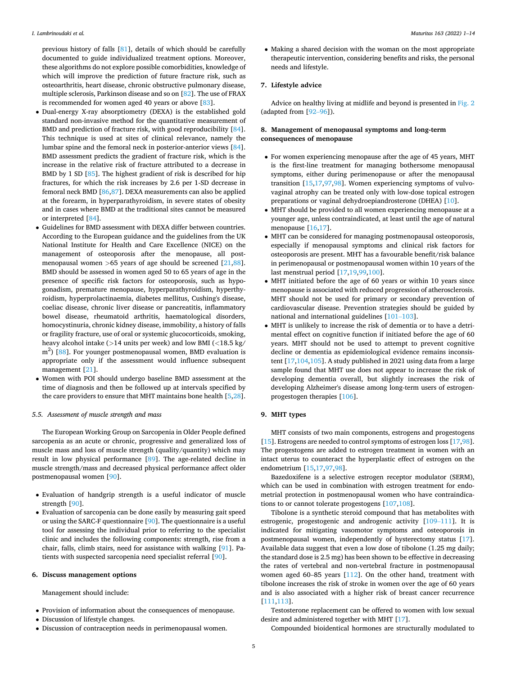previous history of falls [\[81](#page-10-0)], details of which should be carefully documented to guide individualized treatment options. Moreover, these algorithms do not explore possible comorbidities, knowledge of which will improve the prediction of future fracture risk, such as osteoarthritis, heart disease, chronic obstructive pulmonary disease, multiple sclerosis, Parkinson disease and so on [[82\]](#page-10-0). The use of FRAX is recommended for women aged 40 years or above [\[83](#page-10-0)].

- Dual-energy X-ray absorptiometry (DEXA) is the established gold standard non-invasive method for the quantitative measurement of BMD and prediction of fracture risk, with good reproducibility [\[84](#page-10-0)]. This technique is used at sites of clinical relevance, namely the lumbar spine and the femoral neck in posterior-anterior views [\[84](#page-10-0)]. BMD assessment predicts the gradient of fracture risk, which is the increase in the relative risk of fracture attributed to a decrease in BMD by 1 SD [[85\]](#page-10-0). The highest gradient of risk is described for hip fractures, for which the risk increases by 2.6 per 1-SD decrease in femoral neck BMD [[86,87\]](#page-10-0). DEXA measurements can also be applied at the forearm, in hyperparathyroidism, in severe states of obesity and in cases where BMD at the traditional sites cannot be measured or interpreted [\[84](#page-10-0)].
- Guidelines for BMD assessment with DEXA differ between countries. According to the European guidance and the guidelines from the UK National Institute for Health and Care Excellence (NICE) on the management of osteoporosis after the menopause, all postmenopausal women *>*65 years of age should be screened [[21,](#page-9-0)[88](#page-11-0)]. BMD should be assessed in women aged 50 to 65 years of age in the presence of specific risk factors for osteoporosis, such as hypogonadism, premature menopause, hyperparathyroidism, hyperthyroidism, hyperprolactinaemia, diabetes mellitus, Cushing's disease, coeliac disease, chronic liver disease or pancreatitis, inflammatory bowel disease, rheumatoid arthritis, haematological disorders, homocystinuria, chronic kidney disease, immobility, a history of falls or fragility fracture, use of oral or systemic glucocorticoids, smoking, heavy alcohol intake (*>*14 units per week) and low BMI (*<*18.5 kg/ m<sup>2</sup>) [[88\]](#page-11-0). For younger postmenopausal women, BMD evaluation is appropriate only if the assessment would influence subsequent management [[21\]](#page-9-0).
- Women with POI should undergo baseline BMD assessment at the time of diagnosis and then be followed up at intervals specified by the care providers to ensure that MHT maintains bone health [\[5,28](#page-9-0)].

## *5.5. Assessment of muscle strength and mass*

The European Working Group on Sarcopenia in Older People defined sarcopenia as an acute or chronic, progressive and generalized loss of muscle mass and loss of muscle strength (quality/quantity) which may result in low physical performance [[89\]](#page-11-0). The age-related decline in muscle strength/mass and decreased physical performance affect older postmenopausal women [\[90](#page-11-0)].

- Evaluation of handgrip strength is a useful indicator of muscle strength [\[90](#page-11-0)].
- Evaluation of sarcopenia can be done easily by measuring gait speed or using the SARC-F questionnaire [\[90](#page-11-0)]. The questionnaire is a useful tool for assessing the individual prior to referring to the specialist clinic and includes the following components: strength, rise from a chair, falls, climb stairs, need for assistance with walking [\[91](#page-11-0)]. Patients with suspected sarcopenia need specialist referral [\[90](#page-11-0)].

#### **6. Discuss management options**

Management should include:

- Provision of information about the consequences of menopause.
- Discussion of lifestyle changes.
- Discussion of contraception needs in perimenopausal women.

• Making a shared decision with the woman on the most appropriate therapeutic intervention, considering benefits and risks, the personal needs and lifestyle.

## **7. Lifestyle advice**

Advice on healthy living at midlife and beyond is presented in [Fig. 2](#page-5-0)  (adapted from [92–[96\]](#page-11-0)).

## **8. Management of menopausal symptoms and long-term consequences of menopause**

- For women experiencing menopause after the age of 45 years, MHT is the first-line treatment for managing bothersome menopausal symptoms, either during perimenopause or after the menopausal transition [[15,17,](#page-9-0)[97,98](#page-11-0)]. Women experiencing symptoms of vulvovaginal atrophy can be treated only with low-dose topical estrogen preparations or vaginal dehydroepiandrosterone (DHEA) [[10\]](#page-9-0).
- MHT should be provided to all women experiencing menopause at a younger age, unless contraindicated, at least until the age of natural menopause [[16,17](#page-9-0)].
- MHT can be considered for managing postmenopausal osteoporosis, especially if menopausal symptoms and clinical risk factors for osteoporosis are present. MHT has a favourable benefit/risk balance in perimenopausal or postmenopausal women within 10 years of the last menstrual period [\[17,19](#page-9-0),[99,100](#page-11-0)].
- MHT initiated before the age of 60 years or within 10 years since menopause is associated with reduced progression of atherosclerosis. MHT should not be used for primary or secondary prevention of cardiovascular disease. Prevention strategies should be guided by national and international guidelines [101–[103\]](#page-11-0).
- MHT is unlikely to increase the risk of dementia or to have a detrimental effect on cognitive function if initiated before the age of 60 years. MHT should not be used to attempt to prevent cognitive decline or dementia as epidemiological evidence remains inconsistent [\[17](#page-9-0),[104,105\]](#page-11-0). A study published in 2021 using data from a large sample found that MHT use does not appear to increase the risk of developing dementia overall, but slightly increases the risk of developing Alzheimer's disease among long-term users of estrogenprogestogen therapies [[106](#page-11-0)].

## **9. MHT types**

MHT consists of two main components, estrogens and progestogens [[15\]](#page-9-0). Estrogens are needed to control symptoms of estrogen loss [[17,](#page-9-0)[98](#page-11-0)]. The progestogens are added to estrogen treatment in women with an intact uterus to counteract the hyperplastic effect of estrogen on the endometrium [[15,17](#page-9-0)[,97,98](#page-11-0)].

Bazedoxifene is a selective estrogen receptor modulator (SERM), which can be used in combination with estrogen treatment for endometrial protection in postmenopausal women who have contraindications to or cannot tolerate progestogens [[107](#page-11-0),[108](#page-11-0)].

Tibolone is a synthetic steroid compound that has metabolites with estrogenic, progestogenic and androgenic activity [\[109](#page-11-0)–111]. It is indicated for mitigating vasomotor symptoms and osteoporosis in postmenopausal women, independently of hysterectomy status [\[17](#page-9-0)]. Available data suggest that even a low dose of tibolone (1.25 mg daily; the standard dose is 2.5 mg) has been shown to be effective in decreasing the rates of vertebral and non-vertebral fracture in postmenopausal women aged 60–85 years [[112](#page-11-0)]. On the other hand, treatment with tibolone increases the risk of stroke in women over the age of 60 years and is also associated with a higher risk of breast cancer recurrence [[111](#page-11-0),[113](#page-11-0)].

Testosterone replacement can be offered to women with low sexual desire and administered together with MHT [\[17](#page-9-0)].

Compounded bioidentical hormones are structurally modulated to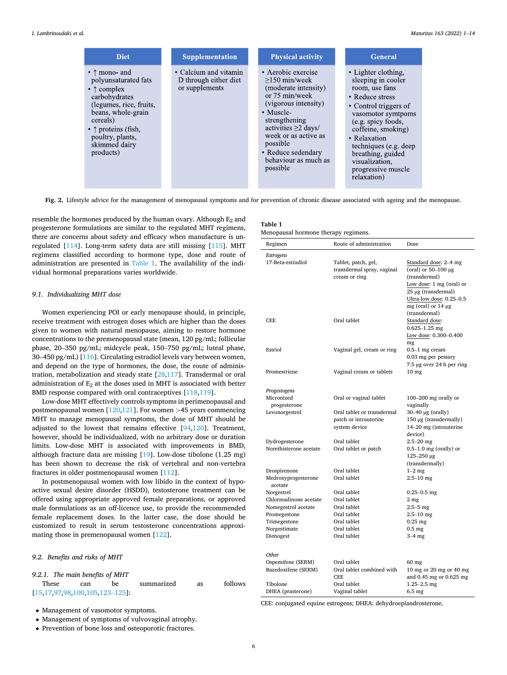<span id="page-5-0"></span>

| <b>Diet</b>                                                                                                                                                                                                                                                    | <b>Supplementation</b>                                           | <b>Physical activity</b>                                                                                                                                                                                                                                               | <b>General</b>                                                                                                                                                                                                                                                                                 |
|----------------------------------------------------------------------------------------------------------------------------------------------------------------------------------------------------------------------------------------------------------------|------------------------------------------------------------------|------------------------------------------------------------------------------------------------------------------------------------------------------------------------------------------------------------------------------------------------------------------------|------------------------------------------------------------------------------------------------------------------------------------------------------------------------------------------------------------------------------------------------------------------------------------------------|
| $\bullet$ $\uparrow$ mono- and<br>polyunsaturated fats<br>$\bullet$ $\uparrow$ complex<br>carbohydrates<br>(legumes, rice, fruits,<br>beans, whole-grain<br>cereals)<br>$\bullet$ $\uparrow$ proteins (fish,<br>poultry, plants,<br>skimmed dairy<br>products) | • Calcium and vitamin<br>D through either diet<br>or supplements | • Aerobic exercise<br>$>150$ min/week<br>(moderate intensity)<br>or 75 min/week<br>(vigorous intensity)<br>$\bullet$ Muscle-<br>strengthening<br>activities $\geq$ days/<br>week or as active as<br>possible<br>• Reduce sedendary<br>behaviour as much as<br>possible | • Lighter clothing.<br>sleeping in cooler<br>room, use fans<br>• Reduce stress<br>• Control triggers of<br>vasomotor symtpoms<br>(e.g. spicy foods,<br>coffeine, smoking)<br>• Relaxation<br>techniques (e.g. deep<br>breathing, guided<br>visualization,<br>progressive muscle<br>relaxation) |

**Fig. 2.** Lifestyle advice for the management of menopausal symptoms and for prevention of chronic disease associated with ageing and the menopause.

**Ta** 

resemble the hormones produced by the human ovary. Although  $E_2$  and progesterone formulations are similar to the regulated MHT regimens, there are concerns about safety and efficacy when manufacture is unregulated [[114](#page-11-0)]. Long-term safety data are still missing [\[115\]](#page-11-0). MHT regimens classified according to hormone type, dose and route of administration are presented in Table 1. The availability of the individual hormonal preparations varies worldwide.

#### *9.1. Individualizing MHT dose*

Women experiencing POI or early menopause should, in principle, receive treatment with estrogen doses which are higher than the doses given to women with natural menopause, aiming to restore hormone concentrations to the premenopausal state (mean, 120 pg/mL; follicular phase, 20–350 pg/mL; midcycle peak, 150–750 pg/mL; luteal phase, 30–450 pg/mL) [\[116\]](#page-11-0). Circulating estradiol levels vary between women, and depend on the type of hormones, the dose, the route of administration, metabolization and steady state [[28](#page-9-0)[,117\]](#page-11-0). Transdermal or oral administration of  $E_2$  at the doses used in MHT is associated with better BMD response compared with oral contraceptives [[118](#page-11-0),[119](#page-11-0)].

Low-dose MHT effectively controls symptoms in perimenopausal and postmenopausal women [[120,121\]](#page-11-0). For women *>*45 years commencing MHT to manage menopausal symptoms, the dose of MHT should be adjusted to the lowest that remains effective [\[94,120\]](#page-11-0). Treatment, however, should be individualized, with no arbitrary dose or duration limits. Low-dose MHT is associated with improvements in BMD, although fracture data are missing [[19\]](#page-9-0). Low-dose tibolone (1.25 mg) has been shown to decrease the risk of vertebral and non-vertebra fractures in older postmenopausal women [[112](#page-11-0)].

In postmenopausal women with low libido in the context of hypoactive sexual desire disorder (HSDD), testosterone treatment can be offered using appropriate approved female preparations, or approved male formulations as an off-licence use, to provide the recommended female replacement doses. In the latter case, the dose should be customized to result in serum testosterone concentrations approximating those in premenopausal women [[122](#page-11-0)].

#### *9.2. Benefits and risks of MHT*

#### *9.2.1. The main benefits of MHT*

| These                                     | can | be. | summarized | as | follows |
|-------------------------------------------|-----|-----|------------|----|---------|
| $[15, 17, 97, 98, 100, 105, 123 - 125]$ : |     |     |            |    |         |

• Management of vasomotor symptoms.

- Management of symptoms of vulvovaginal atrophy.
- Prevention of bone loss and osteoporotic fractures.

| ble |  |  |  |  |  |
|-----|--|--|--|--|--|
|-----|--|--|--|--|--|

Menopausal hormone therapy regimens.

| Regimen                        | Route of administration                                            | Dose                                                                                                                                              |
|--------------------------------|--------------------------------------------------------------------|---------------------------------------------------------------------------------------------------------------------------------------------------|
| <b>Estrogens</b>               |                                                                    |                                                                                                                                                   |
| 17-Beta-estradiol              | Tablet, patch, gel,<br>transdermal spray, vaginal<br>cream or ring | Standard dose: 2-4 mg<br>(oral) or $50-100 \mu g$<br>(transdermal)<br>Low dose: 1 mg (oral) or<br>25 µg (transdermal)<br>Ultra-low dose: 0.25-0.5 |
| <b>CEE</b>                     | Oral tablet                                                        | mg (oral) or $14 \mu$ g<br>(transdermal)<br>Standard dose:<br>$0.625 - 1.25$ mg<br>Low dose: 0.300-0.400<br>mg                                    |
| Estriol                        | Vaginal gel, cream or ring                                         | $0.5-1$ mg cream<br>0.03 mg per pessary<br>$7.5 \mu$ g over 24 h per ring                                                                         |
| Promestriene                   | Vaginal cream or tablets                                           | 10 <sub>mg</sub>                                                                                                                                  |
| Progestogens                   |                                                                    |                                                                                                                                                   |
| Micronized                     | Oral or vaginal tablet                                             | $100-200$ mg orally or                                                                                                                            |
| progesterone                   |                                                                    | vaginally                                                                                                                                         |
| Levonorgestrel                 | Oral tablet or transdermal                                         | $30-40 \mu g$ (orally)                                                                                                                            |
|                                | patch or intrauterine<br>system device                             | 150 μg (transdermally)<br>14-20 mg (intrauterine<br>device)                                                                                       |
| Dydrogesterone                 | Oral tablet                                                        | $2.5 - 20$ mg                                                                                                                                     |
| Norethisterone acetate         | Oral tablet or patch                                               | $0.5-1.0$ mg (orally) or<br>$125 - 250 \,\mu g$<br>(transdermally)                                                                                |
| Drospirenone                   | Oral tablet                                                        | $1-2$ mg                                                                                                                                          |
| Medroxyprogesterone<br>acetate | Oral tablet                                                        | $2.5 - 10$ mg                                                                                                                                     |
| Norgestrel                     | Oral tablet                                                        | $0.25 - 0.5$ mg                                                                                                                                   |
| Chlormadinone acetate          | Oral tablet                                                        | 2 <sub>mg</sub>                                                                                                                                   |
| Nomegestrol acetate            | Oral tablet                                                        | $2.5 - 5$ mg                                                                                                                                      |
| Promegestone<br>Trimegestone   | Oral tablet<br>Oral tablet                                         | $2.5 - 10$ mg<br>$0.25$ mg                                                                                                                        |
| Norgestimate                   | Oral tablet                                                        | $0.5$ mg                                                                                                                                          |
| Dienogest                      | Oral tablet                                                        | $3-4$ mg                                                                                                                                          |
| Other                          |                                                                    |                                                                                                                                                   |
| Ospemifene (SERM)              | Oral tablet                                                        | $60$ mg                                                                                                                                           |
| Bazedoxifene (SERM)            | Oral tablet combined with<br><b>CEE</b>                            | 10 mg or 20 mg or 40 mg<br>and 0.45 mg or 0.625 mg                                                                                                |
| Tibolone                       | Oral tablet                                                        | $1.25 - 2.5$ mg                                                                                                                                   |
| DHEA (prasterone)              | Vaginal tablet                                                     | $6.5 \text{ mg}$                                                                                                                                  |

CEE: conjugated equine estrogens; DHEA: dehydroepiandrosterone.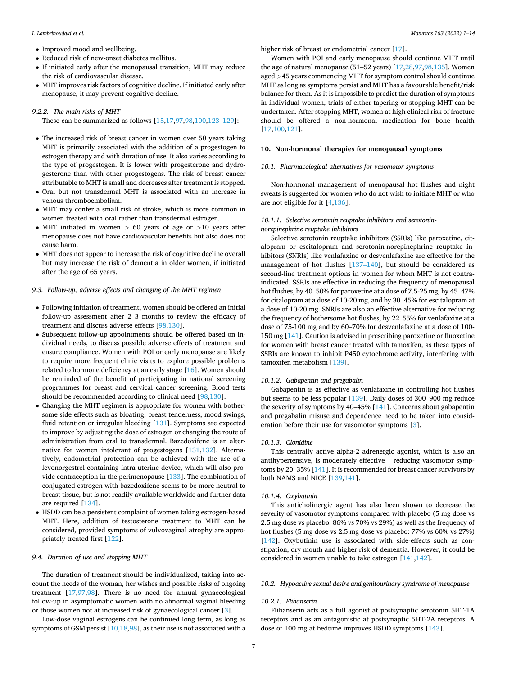- Improved mood and wellbeing.
- Reduced risk of new-onset diabetes mellitus.
- If initiated early after the menopausal transition, MHT may reduce the risk of cardiovascular disease.
- MHT improves risk factors of cognitive decline. If initiated early after menopause, it may prevent cognitive decline.

## *9.2.2. The main risks of MHT*

These can be summarized as follows [[15,17](#page-9-0)[,97,98](#page-11-0),[100,123](#page-11-0)–129]:

- The increased risk of breast cancer in women over 50 years taking MHT is primarily associated with the addition of a progestogen to estrogen therapy and with duration of use. It also varies according to the type of progestogen. It is lower with progesterone and dydrogesterone than with other progestogens. The risk of breast cancer attributable to MHT is small and decreases after treatment is stopped.
- Oral but not transdermal MHT is associated with an increase in venous thromboembolism.
- MHT may confer a small risk of stroke, which is more common in women treated with oral rather than transdermal estrogen.
- MHT initiated in women *>* 60 years of age or *>*10 years after menopause does not have cardiovascular benefits but also does not cause harm.
- MHT does not appear to increase the risk of cognitive decline overall but may increase the risk of dementia in older women, if initiated after the age of 65 years.

#### *9.3. Follow-up, adverse effects and changing of the MHT regimen*

- Following initiation of treatment, women should be offered an initial follow-up assessment after 2–3 months to review the efficacy of treatment and discuss adverse effects [\[98](#page-11-0),[130](#page-12-0)].
- Subsequent follow-up appointments should be offered based on individual needs, to discuss possible adverse effects of treatment and ensure compliance. Women with POI or early menopause are likely to require more frequent clinic visits to explore possible problems related to hormone deficiency at an early stage [[16\]](#page-9-0). Women should be reminded of the benefit of participating in national screening programmes for breast and cervical cancer screening. Blood tests should be recommended according to clinical need [\[98](#page-11-0),[130](#page-12-0)].
- Changing the MHT regimen is appropriate for women with bothersome side effects such as bloating, breast tenderness, mood swings, fluid retention or irregular bleeding [[131](#page-12-0)]. Symptoms are expected to improve by adjusting the dose of estrogen or changing the route of administration from oral to transdermal. Bazedoxifene is an alternative for women intolerant of progestogens [\[131,132\]](#page-12-0). Alternatively, endometrial protection can be achieved with the use of a levonorgestrel-containing intra-uterine device, which will also provide contraception in the perimenopause [[133](#page-12-0)]. The combination of conjugated estrogen with bazedoxifene seems to be more neutral to breast tissue, but is not readily available worldwide and further data are required [[134](#page-12-0)].
- HSDD can be a persistent complaint of women taking estrogen-based MHT. Here, addition of testosterone treatment to MHT can be considered, provided symptoms of vulvovaginal atrophy are appropriately treated first [\[122\]](#page-11-0).

#### *9.4. Duration of use and stopping MHT*

The duration of treatment should be individualized, taking into account the needs of the woman, her wishes and possible risks of ongoing treatment [\[17](#page-9-0)[,97](#page-11-0),[98\]](#page-11-0). There is no need for annual gynaecological follow-up in asymptomatic women with no abnormal vaginal bleeding or those women not at increased risk of gynaecological cancer [[3](#page-8-0)].

Low-dose vaginal estrogens can be continued long term, as long as symptoms of GSM persist [[10,18](#page-9-0)[,98](#page-11-0)], as their use is not associated with a

higher risk of breast or endometrial cancer [[17\]](#page-9-0).

Women with POI and early menopause should continue MHT until the age of natural menopause (51–52 years) [[17,28](#page-9-0)[,97](#page-11-0),[98,](#page-11-0)[135](#page-12-0)]. Women aged *>*45 years commencing MHT for symptom control should continue MHT as long as symptoms persist and MHT has a favourable benefit/risk balance for them. As it is impossible to predict the duration of symptoms in individual women, trials of either tapering or stopping MHT can be undertaken. After stopping MHT, women at high clinical risk of fracture should be offered a non-hormonal medication for bone health [[17](#page-9-0)[,100,121](#page-11-0)].

## **10. Non-hormonal therapies for menopausal symptoms**

## *10.1. Pharmacological alternatives for vasomotor symptoms*

Non-hormonal management of menopausal hot flushes and night sweats is suggested for women who do not wish to initiate MHT or who are not eligible for it [[4](#page-9-0)[,136\]](#page-12-0).

## *10.1.1. Selective serotonin reuptake inhibitors and serotoninnorepinephrine reuptake inhibitors*

Selective serotonin reuptake inhibitors (SSRIs) like paroxetine, citalopram or escitalopram and serotonin-norepinephrine reuptake inhibitors (SNRIs) like venlafaxine or desvenlafaxine are effective for the management of hot flushes [\[137](#page-12-0)–140], but should be considered as second-line treatment options in women for whom MHT is not contraindicated. SSRIs are effective in reducing the frequency of menopausal hot flushes, by 40–50% for paroxetine at a dose of 7.5-25 mg, by 45–47% for citalopram at a dose of 10-20 mg, and by 30–45% for escitalopram at a dose of 10-20 mg. SNRIs are also an effective alternative for reducing the frequency of bothersome hot flushes, by 22–55% for venlafaxine at a dose of 75-100 mg and by 60–70% for desvenlafaxine at a dose of 100- 150 mg [[141](#page-12-0)]. Caution is advised in prescribing paroxetine or fluoxetine for women with breast cancer treated with tamoxifen, as these types of SSRIs are known to inhibit P450 cytochrome activity, interfering with tamoxifen metabolism [\[139\]](#page-12-0).

## *10.1.2. Gabapentin and pregabalin*

Gabapentin is as effective as venlafaxine in controlling hot flushes but seems to be less popular [\[139\]](#page-12-0). Daily doses of 300–900 mg reduce the severity of symptoms by 40–45% [[141](#page-12-0)]. Concerns about gabapentin and pregabalin misuse and dependence need to be taken into consideration before their use for vasomotor symptoms [\[3\]](#page-8-0).

#### *10.1.3. Clonidine*

This centrally active alpha-2 adrenergic agonist, which is also an antihypertensive, is moderately effective – reducing vasomotor symptoms by 20–35% [\[141\]](#page-12-0). It is recommended for breast cancer survivors by both NAMS and NICE [[139](#page-12-0),[141](#page-12-0)].

## *10.1.4. Oxybutinin*

This anticholinergic agent has also been shown to decrease the severity of vasomotor symptoms compared with placebo (5 mg dose vs 2.5 mg dose vs placebo: 86% vs 70% vs 29%) as well as the frequency of hot flushes (5 mg dose vs 2.5 mg dose vs placebo: 77% vs 60% vs 27%) [[142](#page-12-0)]. Oxybutinin use is associated with side-effects such as constipation, dry mouth and higher risk of dementia. However, it could be considered in women unable to take estrogen [\[141,142](#page-12-0)].

## *10.2. Hypoactive sexual desire and genitourinary syndrome of menopause*

#### *10.2.1. Flibanserin*

Flibanserin acts as a full agonist at postsynaptic serotonin 5HT-1A receptors and as an antagonistic at postsynaptic 5HT-2A receptors. A dose of 100 mg at bedtime improves HSDD symptoms [\[143\]](#page-12-0).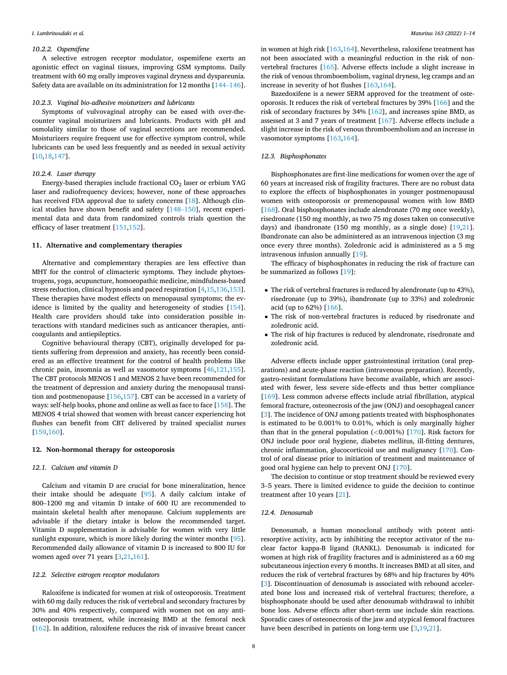#### *10.2.2. Ospemifene*

A selective estrogen receptor modulator, ospemifene exerts an agonistic effect on vaginal tissues, improving GSM symptoms. Daily treatment with 60 mg orally improves vaginal dryness and dyspareunia. Safety data are available on its administration for 12 months [\[144](#page-12-0)–146].

#### *10.2.3. Vaginal bio-adhesive moisturizers and lubricants*

Symptoms of vulvovaginal atrophy can be eased with over-thecounter vaginal moisturizers and lubricants. Products with pH and osmolality similar to those of vaginal secretions are recommended. Moisturizers require frequent use for effective symptom control, while lubricants can be used less frequently and as needed in sexual activity [[10,18](#page-9-0)[,147\]](#page-12-0).

## *10.2.4. Laser therapy*

Energy-based therapies include fractional  $CO<sub>2</sub>$  laser or erbium YAG laser and radiofrequency devices; however, none of these approaches has received FDA approval due to safety concerns [[18\]](#page-9-0). Although clinical studies have shown benefit and safety [\[148](#page-12-0)–150], recent experimental data and data from randomized controls trials question the efficacy of laser treatment [[151,152\]](#page-12-0).

## **11. Alternative and complementary therapies**

Alternative and complementary therapies are less effective than MHT for the control of climacteric symptoms. They include phytoestrogens, yoga, acupuncture, homoeopathic medicine, mindfulness-based stress reduction, clinical hypnosis and paced respiration [[4](#page-9-0),[15,](#page-9-0)[136](#page-12-0),[153](#page-12-0)]. These therapies have modest effects on menopausal symptoms; the evidence is limited by the quality and heterogeneity of studies [[154](#page-12-0)]. Health care providers should take into consideration possible interactions with standard medicines such as anticancer therapies, anticoagulants and antiepileptics.

Cognitive behavioural therapy (CBT), originally developed for patients suffering from depression and anxiety, has recently been considered as an effective treatment for the control of health problems like chronic pain, insomnia as well as vasomotor symptoms [[46,](#page-10-0)[121](#page-11-0),[155](#page-12-0)]. The CBT protocols MENOS 1 and MENOS 2 have been recommended for the treatment of depression and anxiety during the menopausal transition and postmenopause [[156](#page-12-0),[157\]](#page-12-0). CBT can be accessed in a variety of ways: self-help books, phone and online as well as face to face [[158](#page-12-0)]. The MENOS 4 trial showed that women with breast cancer experiencing hot flushes can benefit from CBT delivered by trained specialist nurses [[159](#page-12-0),[160](#page-12-0)].

## **12. Non-hormonal therapy for osteoporosis**

## *12.1. Calcium and vitamin D*

Calcium and vitamin D are crucial for bone mineralization, hence their intake should be adequate [\[95](#page-11-0)]. A daily calcium intake of 800–1200 mg and vitamin D intake of 600 IU are recommended to maintain skeletal health after menopause. Calcium supplements are advisable if the dietary intake is below the recommended target. Vitamin D supplementation is advisable for women with very little sunlight exposure, which is more likely during the winter months [\[95](#page-11-0)]. Recommended daily allowance of vitamin D is increased to 800 IU for women aged over 71 years [\[3,](#page-8-0)[21](#page-9-0)[,161\]](#page-12-0).

#### *12.2. Selective estrogen receptor modulators*

Raloxifene is indicated for women at risk of osteoporosis. Treatment with 60 mg daily reduces the risk of vertebral and secondary fractures by 30% and 40% respectively, compared with women not on any antiosteoporosis treatment, while increasing BMD at the femoral neck [[162](#page-12-0)]. In addition, raloxifene reduces the risk of invasive breast cancer

in women at high risk [\[163,164](#page-12-0)]. Nevertheless, raloxifene treatment has not been associated with a meaningful reduction in the risk of nonvertebral fractures [\[165\]](#page-12-0). Adverse effects include a slight increase in the risk of venous thromboembolism, vaginal dryness, leg cramps and an increase in severity of hot flushes [[163,164\]](#page-12-0).

Bazedoxifene is a newer SERM approved for the treatment of osteoporosis. It reduces the risk of vertebral fractures by 39% [[166\]](#page-12-0) and the risk of secondary fractures by 34% [[162](#page-12-0)], and increases spine BMD, as assessed at 3 and 7 years of treatment [[167](#page-12-0)]. Adverse effects include a slight increase in the risk of venous thromboembolism and an increase in vasomotor symptoms [\[163,164\]](#page-12-0).

## *12.3. Bisphosphonates*

Bisphosphonates are first-line medications for women over the age of 60 years at increased risk of fragility fractures. There are no robust data to explore the effects of bisphosphonates in younger postmenopausal women with osteoporosis or premenopausal women with low BMD [[168](#page-12-0)]. Oral bisphosphonates include alendronate (70 mg once weekly), risedronate (150 mg monthly, as two 75 mg doses taken on consecutive days) and ibandronate (150 mg monthly, as a single dose) [[19,21](#page-9-0)]. Ibandronate can also be administered as an intravenous injection (3 mg once every three months). Zoledronic acid is administered as a 5 mg intravenous infusion annually [[19\]](#page-9-0).

The efficacy of bisphosphonates in reducing the risk of fracture can be summarized as follows [\[19](#page-9-0)]:

- The risk of vertebral fractures is reduced by alendronate (up to 43%), risedronate (up to 39%), ibandronate (up to 33%) and zoledronic acid (up to 62%) [[166](#page-12-0)].
- The risk of non-vertebral fractures is reduced by risedronate and zoledronic acid.
- The risk of hip fractures is reduced by alendronate, risedronate and zoledronic acid.

Adverse effects include upper gastrointestinal irritation (oral preparations) and acute-phase reaction (intravenous preparation). Recently, gastro-resistant formulations have become available, which are associated with fewer, less severe side-effects and thus better compliance [[169](#page-13-0)]. Less common adverse effects include atrial fibrillation, atypical femoral fracture, osteonecrosis of the jaw (ONJ) and oesophageal cancer [[3](#page-8-0)]. The incidence of ONJ among patients treated with bisphosphonates is estimated to be 0.001% to 0.01%, which is only marginally higher than that in the general population (*<*0.001%) [\[170\]](#page-13-0). Risk factors for ONJ include poor oral hygiene, diabetes mellitus, ill-fitting dentures, chronic inflammation, glucocorticoid use and malignancy [\[170\]](#page-13-0). Control of oral disease prior to initiation of treatment and maintenance of good oral hygiene can help to prevent ONJ [[170](#page-13-0)].

The decision to continue or stop treatment should be reviewed every 3–5 years. There is limited evidence to guide the decision to continue treatment after 10 years [[21\]](#page-9-0).

#### *12.4. Denosumab*

Denosumab, a human monoclonal antibody with potent antiresorptive activity, acts by inhibiting the receptor activator of the nuclear factor kappa-B ligand (RANKL). Denosumab is indicated for women at high risk of fragility fractures and is administered as a 60 mg subcutaneous injection every 6 months. It increases BMD at all sites, and reduces the risk of vertebral fractures by 68% and hip fractures by 40% [[3](#page-8-0)]. Discontinuation of denosumab is associated with rebound accelerated bone loss and increased risk of vertebral fractures; therefore, a bisphosphonate should be used after denosumab withdrawal to inhibit bone loss. Adverse effects after short-term use include skin reactions. Sporadic cases of osteonecrosis of the jaw and atypical femoral fractures have been described in patients on long-term use [\[3,](#page-8-0)[19,21\]](#page-9-0).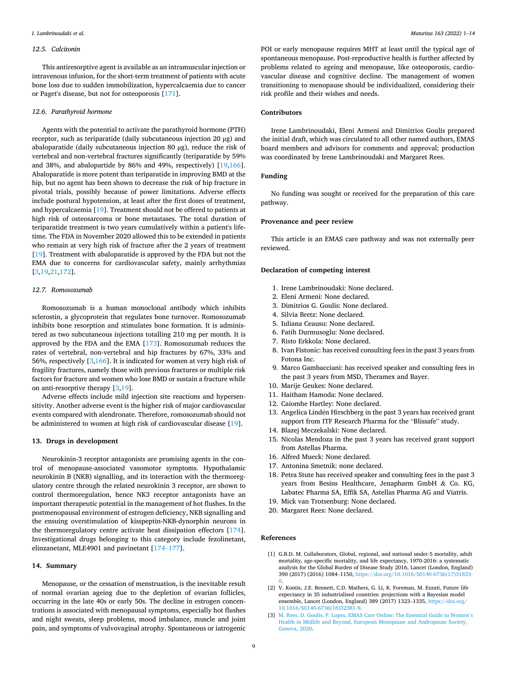### <span id="page-8-0"></span>*12.5. Calcitonin*

This antiresorptive agent is available as an intramuscular injection or intravenous infusion, for the short-term treatment of patients with acute bone loss due to sudden immobilization, hypercalcaemia due to cancer or Paget's disease, but not for osteoporosis [\[171\]](#page-13-0).

#### *12.6. Parathyroid hormone*

Agents with the potential to activate the parathyroid hormone (PTH) receptor, such as teriparatide (daily subcutaneous injection 20 μg) and abaloparatide (daily subcutaneous injection 80 μg), reduce the risk of vertebral and non-vertebral fractures significantly (teriparatide by 59% and 38%, and abalopartide by 86% and 49%, respectively) [\[19](#page-9-0),[166](#page-12-0)]. Abaloparatide is more potent than teriparatide in improving BMD at the hip, but no agent has been shown to decrease the risk of hip fracture in pivotal trials, possibly because of power limitations. Adverse effects include postural hypotension, at least after the first doses of treatment, and hypercalcaemia [\[19\]](#page-9-0). Treatment should not be offered to patients at high risk of osteosarcoma or bone metastases. The total duration of teriparatide treatment is two years cumulatively within a patient's lifetime. The FDA in November 2020 allowed this to be extended in patients who remain at very high risk of fracture after the 2 years of treatment [[19\]](#page-9-0). Treatment with abaloparatide is approved by the FDA but not the EMA due to concerns for cardiovascular safety, mainly arrhythmias [3,[19,21,](#page-9-0)[172\]](#page-13-0).

### *12.7. Romosozumab*

Romosozumab is a human monoclonal antibody which inhibits sclerostin, a glycoprotein that regulates bone turnover. Romosozumab inhibits bone resorption and stimulates bone formation. It is administered as two subcutaneous injections totalling 210 mg per month. It is approved by the FDA and the EMA [\[173\]](#page-13-0). Romosozumab reduces the rates of vertebral, non-vertebral and hip fractures by 67%, 33% and 56%, respectively [3,[166](#page-12-0)]. It is indicated for women at very high risk of fragility fractures, namely those with previous fractures or multiple risk factors for fracture and women who lose BMD or sustain a fracture while on anti-resorptive therapy [3[,19](#page-9-0)].

Adverse effects include mild injection site reactions and hypersensitivity. Another adverse event is the higher risk of major cardiovascular events compared with alendronate. Therefore, romosozumab should not be administered to women at high risk of cardiovascular disease [[19\]](#page-9-0).

## **13. Drugs in development**

Neurokinin-3 receptor antagonists are promising agents in the control of menopause-associated vasomotor symptoms. Hypothalamic neurokinin B (NKB) signalling, and its interaction with the thermoregulatory centre through the related neurokinin 3 receptor, are shown to control thermoregulation, hence NK3 receptor antagonists have an important therapeutic potential in the management of hot flushes. In the postmenopausal environment of estrogen deficiency, NKB signalling and the ensuing overstimulation of kisspeptin-NKB-dynorphin neurons in the thermoregulatory centre activate heat dissipation effectors [[174](#page-13-0)]. Investigational drugs belonging to this category include fezolinetant, elinzanetant, MLE4901 and pavinetant [[174](#page-13-0)–177].

## **14. Summary**

Menopause, or the cessation of menstruation, is the inevitable result of normal ovarian ageing due to the depletion of ovarian follicles, occurring in the late 40s or early 50s. The decline in estrogen concentrations is associated with menopausal symptoms, especially hot flushes and night sweats, sleep problems, mood imbalance, muscle and joint pain, and symptoms of vulvovaginal atrophy. Spontaneous or iatrogenic

POI or early menopause requires MHT at least until the typical age of spontaneous menopause. Post-reproductive health is further affected by problems related to ageing and menopause, like osteoporosis, cardiovascular disease and cognitive decline. The management of women transitioning to menopause should be individualized, considering their risk profile and their wishes and needs.

## **Contributors**

Irene Lambrinoudaki, Eleni Armeni and Dimitrios Goulis prepared the initial draft, which was circulated to all other named authors, EMAS board members and advisors for comments and approval; production was coordinated by Irene Lambrinoudaki and Margaret Rees.

## **Funding**

No funding was sought or received for the preparation of this care pathway.

#### **Provenance and peer review**

This article is an EMAS care pathway and was not externally peer reviewed.

## **Declaration of competing interest**

- 1. Irene Lambrinoudaki: None declared.
- 2. Eleni Armeni: None declared.
- 3. Dimitrios G. Goulis: None declared.
- 4. Silvia Bretz: None declared.
- 5. Iuliana Ceausu: None declared.
- 6. Fatih Durmusoglu: None declared.
- 7. Risto Erkkola: None declared.
- 8. Ivan Fistonic: has received consulting fees in the past 3 years from Fotona Inc.
- 9. Marco Gambacciani: has received speaker and consulting fees in the past 3 years from MSD, Theramex and Bayer.
- 10. Marije Geukes: None declared.
- 11. Haitham Hamoda: None declared.
- 12. Caiomhe Hartley: None declared.
- 13. Angelica Lindén Hirschberg in the past 3 years has received grant support from ITF Research Pharma for the "Blissafe" study.
- 14. Blazej Meczekalski: None declared.
- 15. Nicolas Mendoza in the past 3 years has received grant support from Astellas Pharma.
- 16. Alfred Mueck: None declared.
- 17. Antonina Smetnik: none declared.
- 18. Petra Stute has received speaker and consulting fees in the past 3 years from Besins Healthcare, Jenapharm GmbH & Co. KG, Labatec Pharma SA, Effik SA, Astellas Pharma AG and Viatris.
- 19. Mick van Trotsenburg: None declared.
- 20. Margaret Rees: None declared.

#### **References**

- [1] G.B.D. M. Collaborators, Global, regional, and national under-5 mortality, adult mortality, age-specific mortality, and life expectancy, 1970-2016: a systematic analysis for the Global Burden of Disease Study 2016, Lancet (London, England) 390 (2017) (2016) 1084–1150, [https://doi.org/10.1016/S0140-6736\(17\)31833-](https://doi.org/10.1016/S0140-6736(17)31833-0)
- [0](https://doi.org/10.1016/S0140-6736(17)31833-0). [2] V. Kontis, J.E. Bennett, C.D. Mathers, G. Li, K. Foreman, M. Ezzati, Future life expectancy in 35 industrialised countries: projections with a Bayesian model ensemble, Lancet (London, England) 389 (2017) 1323–1335, [https://doi.org/](https://doi.org/10.1016/S0140-6736(16)32381-9)  [10.1016/S0140-6736\(16\)32381-9.](https://doi.org/10.1016/S0140-6736(16)32381-9)
- [3] [M. Rees, D. Goulis, P. Lopes, EMAS Care Online: The Essential Guide to Women](http://refhub.elsevier.com/S0378-5122(22)00090-1/rf0015)'s [Health in Midlife and Beyond, European Menopause and Andropause Society,](http://refhub.elsevier.com/S0378-5122(22)00090-1/rf0015) [Geneva, 2020.](http://refhub.elsevier.com/S0378-5122(22)00090-1/rf0015)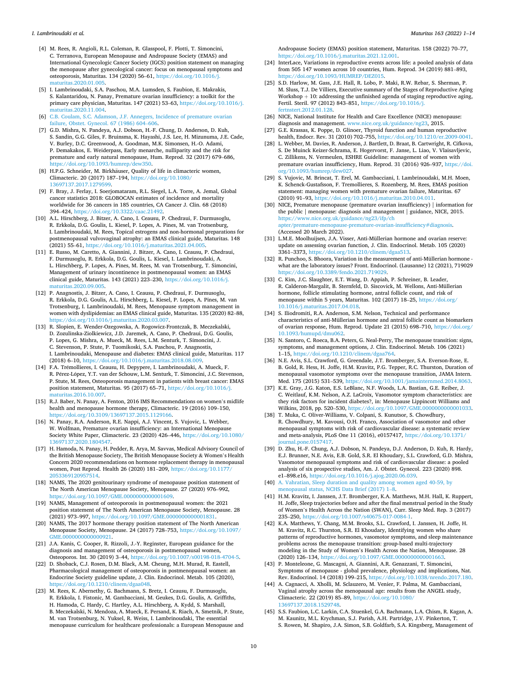- <span id="page-9-0"></span>[4] M. Rees, R. Angioli, R.L. Coleman, R. Glasspool, F. Plotti, T. Simoncini, C. Terranova, European Menopause and Andropause Society (EMAS) and International Gynecologic Cancer Society (IGCS) position statement on managing the menopause after gynecological cancer: focus on menopausal symptoms and osteoporosis, Maturitas. 134 (2020) 56–61, [https://doi.org/10.1016/j.](https://doi.org/10.1016/j.maturitas.2020.01.005) [maturitas.2020.01.005](https://doi.org/10.1016/j.maturitas.2020.01.005).
- [5] I. Lambrinoudaki, S.A. Paschou, M.A. Lumsden, S. Faubion, E. Makrakis, S. Kalantaridou, N. Panay, Premature ovarian insufficiency: a toolkit for the primary care physician, Maturitas. 147 (2021) 53–63, [https://doi.org/10.1016/j.](https://doi.org/10.1016/j.maturitas.2020.11.004)  [maturitas.2020.11.004](https://doi.org/10.1016/j.maturitas.2020.11.004).
- [6] [C.B. Coulam, S.C. Adamson, J.F. Annegers, Incidence of premature ovarian](http://refhub.elsevier.com/S0378-5122(22)00090-1/rf0030)  [failure, Obstet. Gynecol. 67 \(1986\) 604](http://refhub.elsevier.com/S0378-5122(22)00090-1/rf0030)–606.
- [7] G.D. Mishra, N. Pandeya, A.J. Dobson, H.-F. Chung, D. Anderson, D. Kuh, S. Sandin, G.G. Giles, F. Bruinsma, K. Hayashi, J.S. Lee, H. Mizunuma, J.E. Cade, V. Burley, D.C. Greenwood, A. Goodman, M.K. Simonsen, H.-O. Adami, P. Demakakos, E. Weiderpass, Early menarche, nulliparity and the risk for premature and early natural menopause, Hum. Reprod. 32 (2017) 679–686, [https://doi.org/10.1093/humrep/dew350.](https://doi.org/10.1093/humrep/dew350)
- [8] H.P.G. Schneider, M. Birkhäuser, Quality of life in climacteric women, Climacteric. 20 (2017) 187–194, [https://doi.org/10.1080/](https://doi.org/10.1080/13697137.2017.1279599)  [13697137.2017.1279599](https://doi.org/10.1080/13697137.2017.1279599).
- [9] F. Bray, J. Ferlay, I. Soerjomataram, R.L. Siegel, L.A. Torre, A. Jemal, Global cancer statistics 2018: GLOBOCAN estimates of incidence and mortality worldwide for 36 cancers in 185 countries, CA Cancer J. Clin. 68 (2018) 394–424, <https://doi.org/10.3322/caac.21492>.
- [10] A.L. Hirschberg, J. Bitzer, A. Cano, I. Ceausu, P. Chedraui, F. Durmusoglu, R. Erkkola, D.G. Goulis, L. Kiesel, P. Lopes, A. Pines, M. van Trotsenburg, I. Lambrinoudaki, M. Rees, Topical estrogens and non-hormonal preparations for postmenopausal vulvovaginal atrophy: an EMAS clinical guide, Maturitas. 148 (2021) 55–61, [https://doi.org/10.1016/j.maturitas.2021.04.005.](https://doi.org/10.1016/j.maturitas.2021.04.005)
- [11] E. Russo, M. Caretto, A. Giannini, J. Bitzer, A. Cano, I. Ceausu, P. Chedraui, F. Durmusoglu, R. Erkkola, D.G. Goulis, L. Kiesel, I. Lambrinoudaki, A. L. Hirschberg, P. Lopes, A. Pines, M. Rees, M. van Trotsenburg, T. Simoncini, Management of urinary incontinence in postmenopausal women: an EMAS clinical guide, Maturitas. 143 (2021) 223–230, [https://doi.org/10.1016/j.](https://doi.org/10.1016/j.maturitas.2020.09.005) [maturitas.2020.09.005.](https://doi.org/10.1016/j.maturitas.2020.09.005)
- [12] P. Anagnostis, J. Bitzer, A. Cano, I. Ceausu, P. Chedraui, F. Durmusoglu, R. Erkkola, D.G. Goulis, A.L. Hirschberg, L. Kiesel, P. Lopes, A. Pines, M. van Trotsenburg, I. Lambrinoudaki, M. Rees, Menopause symptom management in women with dyslipidemias: an EMAS clinical guide, Maturitas. 135 (2020) 82–88, <https://doi.org/10.1016/j.maturitas.2020.03.007>.
- [13] R. Slopien, E. Wender-Ozegowska, A. Rogowicz-Frontczak, B. Meczekalski, D. Zozulinska-Ziolkiewicz, J.D. Jaremek, A. Cano, P. Chedraui, D.G. Goulis, P. Lopes, G. Mishra, A. Mueck, M. Rees, L.M. Senturk, T. Simoncini, J. C. Stevenson, P. Stute, P. Tuomikoski, S.A. Paschou, P. Anagnostis, I. Lambrinoudaki, Menopause and diabetes: EMAS clinical guide, Maturitas. 117 (2018) 6–10,<https://doi.org/10.1016/j.maturitas.2018.08.009>.
- [14] F.A. Trémollieres, I. Ceausu, H. Depypere, I. Lambrinoudaki, A. Mueck, F. R. Pérez-López, Y.T. van der Schouw, L.M. Senturk, T. Simoncini, J.C. Stevenson, P. Stute, M. Rees, Osteoporosis management in patients with breast cancer: EMAS position statement, Maturitas. 95 (2017) 65–71, [https://doi.org/10.1016/j.](https://doi.org/10.1016/j.maturitas.2016.10.007)  [maturitas.2016.10.007.](https://doi.org/10.1016/j.maturitas.2016.10.007)
- [15] R.J. Baber, N. Panay, A. Fenton, 2016 IMS Recommendations on women's midlife health and menopause hormone therapy, Climacteric. 19 (2016) 109–150, [https://doi.org/10.3109/13697137.2015.1129166.](https://doi.org/10.3109/13697137.2015.1129166)
- [16] N. Panay, R.A. Anderson, R.E. Nappi, A.J. Vincent, S. Vujovic, L. Webber, W. Wolfman, Premature ovarian insufficiency: an International Menopause Society White Paper, Climacteric. 23 (2020) 426–446, [https://doi.org/10.1080/](https://doi.org/10.1080/13697137.2020.1804547)  [13697137.2020.1804547.](https://doi.org/10.1080/13697137.2020.1804547)
- [17] H. Hamoda, N. Panay, H. Pedder, R. Arya, M. Savvas, Medical Advisory Council of the British Menopause Society, The British Menopause Society & Women's Health Concern 2020 recommendations on hormone replacement therapy in menopausal women, Post Reprod. Health 26 (2020) 181–209, [https://doi.org/10.1177/](https://doi.org/10.1177/2053369120957514)  [2053369120957514.](https://doi.org/10.1177/2053369120957514)
- [18] NAMS, The 2020 genitourinary syndrome of menopause position statement of The North American Menopause Society, Menopause. 27 (2020) 976–992, [https://doi.org/10.1097/GME.0000000000001609.](https://doi.org/10.1097/GME.0000000000001609)
- [19] NAMS, Management of osteoporosis in postmenopausal women: the 2021 position statement of The North American Menopause Society, Menopause. 28 (2021) 973–997, [https://doi.org/10.1097/GME.0000000000001831.](https://doi.org/10.1097/GME.0000000000001831)
- [20] NAMS, The 2017 hormone therapy position statement of The North American Menopause Society, Menopause. 24 (2017) 728–753, [https://doi.org/10.1097/](https://doi.org/10.1097/GME.0000000000000921) [GME.0000000000000921](https://doi.org/10.1097/GME.0000000000000921).
- [21] J.A. Kanis, C. Cooper, R. Rizzoli, J.-Y. Reginster, European guidance for the diagnosis and management of osteoporosis in postmenopausal women, Osteoporos. Int. 30 (2019) 3–44, [https://doi.org/10.1007/s00198-018-4704-5.](https://doi.org/10.1007/s00198-018-4704-5)
- [22] D. Shoback, C.J. Rosen, D.M. Black, A.M. Cheung, M.H. Murad, R. Eastell, Pharmacological management of osteoporosis in postmenopausal women: an Endocrine Society guideline update, J. Clin. Endocrinol. Metab. 105 (2020), <https://doi.org/10.1210/clinem/dgaa048>.
- [23] M. Rees, K. Abernethy, G. Bachmann, S. Bretz, I. Ceausu, F. Durmusoglu, R. Erkkola, I. Fistonic, M. Gambacciani, M. Geukes, D.G. Goulis, A. Griffiths, H. Hamoda, C. Hardy, C. Hartley, A.L. Hirschberg, A. Kydd, S. Marshall, B. Meczekalski, N. Mendoza, A. Mueck, E. Persand, K. Riach, A. Smetnik, P. Stute, M. van Trotsenburg, N. Yuksel, R. Weiss, I. Lambrinoudaki, The essential menopause curriculum for healthcare professionals: a European Menopause and

Andropause Society (EMAS) position statement, Maturitas. 158 (2022) 70–77, <https://doi.org/10.1016/j.maturitas.2021.12.001>.

- [24] InterLace, Variations in reproductive events across life: a pooled analysis of data from 505 147 women across 10 countries, Hum. Reprod. 34 (2019) 881–893, <https://doi.org/10.1093/HUMREP/DEZ015>.
- [25] S.D. Harlow, M. Gass, J.E. Hall, R. Lobo, P. Maki, R.W. Rebar, S. Sherman, P. M. Sluss, T.J. De Villiers, Executive summary of the Stages of Reproductive Aging Workshop  $+10$ : addressing the unfinished agenda of staging reproductive aging, Fertil. Steril. 97 (2012) 843–851, [https://doi.org/10.1016/j.](https://doi.org/10.1016/j.fertnstert.2012.01.128)  [fertnstert.2012.01.128.](https://doi.org/10.1016/j.fertnstert.2012.01.128)
- [26] NICE, National Institute for Health and Care Excellence (NICE) menopause: diagnosis and management. [www.nice.org.uk/guidance/ng23](http://www.nice.org.uk/guidance/ng23), 2015.
- [27] G.E. Krassas, K. Poppe, D. Glinoer, Thyroid function and human reproductive health, Endocr. Rev. 31 (2010) 702–755, [https://doi.org/10.1210/er.2009-0041.](https://doi.org/10.1210/er.2009-0041)
- [28] L. Webber, M. Davies, R. Anderson, J. Bartlett, D. Braat, B. Cartwright, R. Cifkova, S. De Muinck Keizer-Schrama, E. Hogervorst, F. Janse, L. Liao, V. Vlaisavljevic, C. Zillikens, N. Vermeulen, ESHRE Guideline: management of women with premature ovarian insufficiency, Hum. Reprod. 31 (2016) 926–937, [https://doi.](https://doi.org/10.1093/humrep/dew027)  [org/10.1093/humrep/dew027.](https://doi.org/10.1093/humrep/dew027)
- [29] S. Vujovic, M. Brincat, T. Erel, M. Gambacciani, I. Lambrinoudaki, M.H. Moen, K. Schenck-Gustafsson, F. Tremollieres, S. Rozenberg, M. Rees, EMAS position statement: managing women with premature ovarian failure, Maturitas. 67 (2010) 91–93, [https://doi.org/10.1016/j.maturitas.2010.04.011.](https://doi.org/10.1016/j.maturitas.2010.04.011)
- [30] NICE, Premature menopause (premature ovarian insufficiency) | information for the public | menopause: diagnosis and management | guidance, NICE, 2015. [https://www.nice.org.uk/guidance/ng23/ifp/ch](https://www.nice.org.uk/guidance/ng23/ifp/chapter/premature-menopause-premature-ovarian-insufficiency#diagnosis)  [apter/premature-menopause-premature-ovarian-insufficiency#diagnosis](https://www.nice.org.uk/guidance/ng23/ifp/chapter/premature-menopause-premature-ovarian-insufficiency#diagnosis). (Accessed 20 March 2022).
- [31] L.M.E. Moolhuijsen, J.A. Visser, Anti-Müllerian hormone and ovarian reserve: update on assessing ovarian function, J. Clin. Endocrinol. Metab. 105 (2020) 3361–3373, <https://doi.org/10.1210/clinem/dgaa513>.
- [32] R. Punchoo, S. Bhoora, Variation in the measurement of anti-Müllerian hormone what are the laboratory issues? Front. Endocrinol. (Lausanne) 12 (2021), 719029 <https://doi.org/10.3389/fendo.2021.719029>.
- [33] C. Kim, J.C. Slaughter, E.T. Wang, D. Appiah, P. Schreiner, B. Leader, R. Calderon-Margalit, B. Sternfeld, D. Siscovick, M. Wellons, Anti-Müllerian hormone, follicle stimulating hormone, antral follicle count, and risk of menopause within 5 years, Maturitas. 102 (2017) 18–25, [https://doi.org/](https://doi.org/10.1016/j.maturitas.2017.04.018)  [10.1016/j.maturitas.2017.04.018.](https://doi.org/10.1016/j.maturitas.2017.04.018)
- [34] S. Iliodromiti, R.A. Anderson, S.M. Nelson, Technical and performance characteristics of anti-Müllerian hormone and antral follicle count as biomarkers of ovarian response, Hum. Reprod. Update 21 (2015) 698–710, [https://doi.org/](https://doi.org/10.1093/humupd/dmu062)  [10.1093/humupd/dmu062.](https://doi.org/10.1093/humupd/dmu062)
- [35] N. Santoro, C. Roeca, B.A. Peters, G. Neal-Perry, The menopause transition: signs, symptoms, and management options, J. Clin. Endocrinol. Metab. 106 (2021) 1–15, <https://doi.org/10.1210/clinem/dgaa764>.
- [36] N.E. Avis, S.L. Crawford, G. Greendale, J.T. Bromberger, S.A. Everson-Rose, E. B. Gold, R. Hess, H. Joffe, H.M. Kravitz, P.G. Tepper, R.C. Thurston, Duration of menopausal vasomotor symptoms over the menopause transition, JAMA Intern. Med. 175 (2015) 531–539, <https://doi.org/10.1001/jamainternmed.2014.8063>.
- [37] K.E. Gray, J.G. Katon, E.S. LeBlanc, N.F. Woods, L.A. Bastian, G.E. Reiber, J. C. Weitlauf, K.M. Nelson, A.Z. LaCroix, Vasomotor symptom characteristics: are they risk factors for incident diabetes?, in: Menopause Lippincott Williams and Wilkins, 2018, pp. 520–530, [https://doi.org/10.1097/GME.0000000000001033.](https://doi.org/10.1097/GME.0000000000001033)
- [38] T. Muka, C. Oliver-Williams, V. Colpani, S. Kunutsor, S. Chowdhury, R. Chowdhury, M. Kavousi, O.H. Franco, Association of vasomotor and other menopausal symptoms with risk of cardiovascular disease: a systematic review and meta-analysis, PLoS One 11 (2016), e0157417, [https://doi.org/10.1371/](https://doi.org/10.1371/journal.pone.0157417)  ournal.pone.0157417.
- [39] D. Zhu, H.-F. Chung, A.J. Dobson, N. Pandeya, D.J. Anderson, D. Kuh, R. Hardy, E.J. Brunner, N.E. Avis, E.B. Gold, S.R. El Khoudary, S.L. Crawford, G.D. Mishra, Vasomotor menopausal symptoms and risk of cardiovascular disease: a pooled analysis of six prospective studies, Am. J. Obstet. Gynecol. 223 (2020) 898. e1–898.e16, [https://doi.org/10.1016/j.ajog.2020.06.039.](https://doi.org/10.1016/j.ajog.2020.06.039)
- [40] [A. Vahratian, Sleep duration and quality among women aged 40-59, by](http://refhub.elsevier.com/S0378-5122(22)00090-1/rf0200)  [menopausal status, NCHS Data Brief \(2017\) 1](http://refhub.elsevier.com/S0378-5122(22)00090-1/rf0200)–8.
- [41] H.M. Kravitz, I. Janssen, J.T. Bromberger, K.A. Matthews, M.H. Hall, K. Ruppert, H. Joffe, Sleep trajectories before and after the final menstrual period in the Study of Women's Health Across the Nation (SWAN), Curr. Sleep Med. Rep. 3 (2017) 235–250, [https://doi.org/10.1007/s40675-017-0084-1.](https://doi.org/10.1007/s40675-017-0084-1)
- [42] K.A. Matthews, Y. Chang, M.M. Brooks, S.L. Crawford, I. Janssen, H. Joffe, H. M. Kravitz, R.C. Thurston, S.R. El Khoudary, Identifying women who share patterns of reproductive hormones, vasomotor symptoms, and sleep maintenance problems across the menopause transition: group-based multi-trajectory modeling in the Study of Women's Health Across the Nation, Menopause. 28 (2020) 126–134, [https://doi.org/10.1097/GME.0000000000001663.](https://doi.org/10.1097/GME.0000000000001663)
- [43] P. Monteleone, G. Mascagni, A. Giannini, A.R. Genazzani, T. Simoncini, Symptoms of menopause - global prevalence, physiology and implications, Nat. Rev. Endocrinol. 14 (2018) 199–215, [https://doi.org/10.1038/nrendo.2017.180.](https://doi.org/10.1038/nrendo.2017.180)
- [44] A. Cagnacci, A. Xholli, M. Sclauzero, M. Venier, F. Palma, M. Gambacciani, Vaginal atrophy across the menopausal age: results from the ANGEL study, Climacteric. 22 (2019) 85–89, [https://doi.org/10.1080/](https://doi.org/10.1080/13697137.2018.1529748) [13697137.2018.1529748.](https://doi.org/10.1080/13697137.2018.1529748)
- [45] S.S. Faubion, L.C. Larkin, C.A. Stuenkel, G.A. Bachmann, L.A. Chism, R. Kagan, A. M. Kaunitz, M.L. Krychman, S.J. Parish, A.H. Partridge, J.V. Pinkerton, T. S. Rowen, M. Shapiro, J.A. Simon, S.B. Goldfarb, S.A. Kingsberg, Management of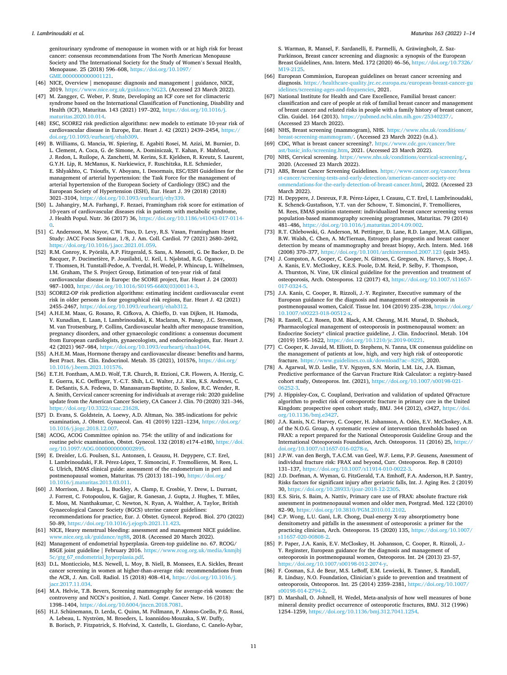<span id="page-10-0"></span>genitourinary syndrome of menopause in women with or at high risk for breast cancer: consensus recommendations from The North American Menopause Society and The International Society for the Study of Women's Sexual Health, Menopause. 25 (2018) 596–608, [https://doi.org/10.1097/](https://doi.org/10.1097/GME.0000000000001121)  [GME.0000000000001121](https://doi.org/10.1097/GME.0000000000001121).

- [46] NICE, Overview | menopause: diagnosis and management | guidance, NICE, 2019. https://www.nice.org.uk/guidance/NG23. (Accessed 23 March 2022) ww.nice.org.uk/guidance/NG23. (Accessed 23 March 2022).
- [47] M. Zangger, C. Weber, P. Stute, Developing an ICF core set for climacteric syndrome based on the International Classification of Functioning, Disability and Health (ICF), Maturitas. 143 (2021) 197–202, [https://doi.org/10.1016/j.](https://doi.org/10.1016/j.maturitas.2020.10.014)  aturitas.2020.10.014
- [48] ESC, SCORE2 risk prediction algorithms: new models to estimate 10-year risk of cardiovascular disease in Europe, Eur. Heart J. 42 (2021) 2439–2454, [https://](https://doi.org/10.1093/eurheartj/ehab309) [doi.org/10.1093/eurheartj/ehab309](https://doi.org/10.1093/eurheartj/ehab309).
- [49] B. Williams, G. Mancia, W. Spiering, E. Agabiti Rosei, M. Azizi, M. Burnier, D. L. Clement, A. Coca, G. de Simone, A. Dominiczak, T. Kahan, F. Mahfoud, J. Redon, L. Ruilope, A. Zanchetti, M. Kerins, S.E. Kjeldsen, R. Kreutz, S. Laurent, G.Y.H. Lip, R. McManus, K. Narkiewicz, F. Ruschitzka, R.E. Schmieder, E. Shlyakhto, C. Tsioufis, V. Aboyans, I. Desormais, ESC/ESH Guidelines for the management of arterial hypertension: the Task Force for the management of arterial hypertension of the European Society of Cardiology (ESC) and the European Society of Hypertension (ESH), Eur. Heart J. 39 (2018) (2018) 3021–3104, [https://doi.org/10.1093/eurheartj/ehy339.](https://doi.org/10.1093/eurheartj/ehy339)
- [50] L. Jahangiry, M.A. Farhangi, F. Rezaei, Framingham risk score for estimation of 10-years of cardiovascular diseases risk in patients with metabolic syndrome, J. Health Popul. Nutr. 36 (2017) 36, [https://doi.org/10.1186/s41043-017-0114-](https://doi.org/10.1186/s41043-017-0114-0)  [0.](https://doi.org/10.1186/s41043-017-0114-0)
- [51] C. Andersson, M. Nayor, C.W. Tsao, D. Levy, R.S. Vasan, Framingham Heart Study: JACC Focus Seminar, 1/8, J. Am. Coll. Cardiol. 77 (2021) 2680–2692, <https://doi.org/10.1016/j.jacc.2021.01.059>.
- [52] R.M. Conroy, K. Pyörälä, A.P. Fitzgerald, S. Sans, A. Menotti, G. De Backer, D. De Bacquer, P. Ducimetière, P. Jousilahti, U. Keil, I. Njølstad, R.G. Oganov, T. Thomsen, H. Tunstall-Pedoe, A. Tverdal, H. Wedel, P. Whincup, L. Wilhelmsen, I.M. Graham, The S. Project Group, Estimation of ten-year risk of fatal cardiovascular disease in Europe: the SCORE project, Eur. Heart J. 24 (2003) 987–1003, [https://doi.org/10.1016/S0195-668X\(03\)00114-3](https://doi.org/10.1016/S0195-668X(03)00114-3).
- [53] SCORE2-OP risk prediction algorithms: estimating incident cardiovascular event risk in older persons in four geographical risk regions, Eur. Heart J. 42 (2021) 2455–2467, [https://doi.org/10.1093/eurheartj/ehab312.](https://doi.org/10.1093/eurheartj/ehab312)
- [54] A.H.E.M. Maas, G. Rosano, R. Cifkova, A. Chieffo, D. van Dijken, H. Hamoda, V. Kunadian, E. Laan, I. Lambrinoudaki, K. Maclaran, N. Panay, J.C. Stevenson, M. van Trotsenburg, P. Collins, Cardiovascular health after menopause transition, pregnancy disorders, and other gynaecologic conditions: a consensus document from European cardiologists, gynaecologists, and endocrinologists, Eur. Heart J. 42 (2021) 967–984, [https://doi.org/10.1093/eurheartj/ehaa1044.](https://doi.org/10.1093/eurheartj/ehaa1044)
- [55] A.H.E.M. Maas, Hormone therapy and cardiovascular disease: benefits and harms, Best Pract. Res. Clin. Endocrinol. Metab. 35 (2021), 101576, [https://doi.org/](https://doi.org/10.1016/j.beem.2021.101576)  [10.1016/j.beem.2021.101576.](https://doi.org/10.1016/j.beem.2021.101576)
- [56] E.T.H. Fontham, A.M.D. Wolf, T.R. Church, R. Etzioni, C.R. Flowers, A. Herzig, C. E. Guerra, K.C. Oeffinger, Y.-C.T. Shih, L.C. Walter, J.J. Kim, K.S. Andrews, C. E. DeSantis, S.A. Fedewa, D. Manassaram-Baptiste, D. Saslow, R.C. Wender, R. A. Smith, Cervical cancer screening for individuals at average risk: 2020 guideline update from the American Cancer Society, CA Cancer J. Clin. 70 (2020) 321–346, <https://doi.org/10.3322/caac.21628>.
- [57] D. Evans, S. Goldstein, A. Loewy, A.D. Altman, No. 385-indications for pelvic examination, J. Obstet. Gynaecol. Can. 41 (2019) 1221–1234, [https://doi.org/](https://doi.org/10.1016/j.jogc.2018.12.007)  [10.1016/j.jogc.2018.12.007.](https://doi.org/10.1016/j.jogc.2018.12.007)
- [58] ACOG, ACOG Committee opinion no. 754: the utility of and indications for routine pelvic examination, Obstet. Gynecol. 132 (2018) e174–e180, [https://doi.](https://doi.org/10.1097/AOG.0000000000002895)  [org/10.1097/AOG.0000000000002895.](https://doi.org/10.1097/AOG.0000000000002895)
- [59] E. Dreisler, L.G. Poulsen, S.L. Antonsen, I. Ceausu, H. Depypere, C.T. Erel, I. Lambrinoudaki, F.R. Pérez-López, T. Simoncini, F. Tremollieres, M. Rees, L. G. Ulrich, EMAS clinical guide: assessment of the endometrium in peri and postmenopausal women, Maturitas. 75 (2013) 181-190, https://doi.org [10.1016/j.maturitas.2013.03.011.](https://doi.org/10.1016/j.maturitas.2013.03.011)
- [60] J. Morrison, J. Balega, L. Buckley, A. Clamp, E. Crosbie, Y. Drew, L. Durrant, J. Forrest, C. Fotopoulou, K. Gajjar, R. Ganesan, J. Gupta, J. Hughes, T. Miles, E. Moss, M. Nanthakumar, C. Newton, N. Ryan, A. Walther, A. Taylor, British Gynaecological Cancer Society (BGCS) uterine cancer guidelines: recommendations for practice, Eur. J. Obstet. Gynecol. Reprod. Biol. 270 (2022) 50–89, [https://doi.org/10.1016/j.ejogrb.2021.11.423.](https://doi.org/10.1016/j.ejogrb.2021.11.423)
- [61] NICE, Heavy menstrual bleeding: assessment and management NICE guideline. [www.nice.org.uk/guidance/ng88](http://www.nice.org.uk/guidance/ng88), 2018. (Accessed 20 March 2022).
- [62] Management of endometrial hyperplasia. Green-top guideline no. 67. RCOG/ BSGE joint guideline | February 2016. [https://www.rcog.org.uk/media/knmjbj](https://www.rcog.org.uk/media/knmjbj5c/gtg_67_endometrial_hyperplasia.pdf)  ndometrial\_hyperplasia.pdf
- [63] D.L. Monticciolo, M.S. Newell, L. Moy, B. Niell, B. Monsees, E.A. Sickles, Breast cancer screening in women at higher-than-average risk: recommendations from the ACR, J. Am. Coll. Radiol. 15 (2018) 408–414, [https://doi.org/10.1016/j.](https://doi.org/10.1016/j.jacr.2017.11.034) r.2017.11.034
- [64] M.A. Helvie, T.B. Bevers, Screening mammography for average-risk women: the controversy and NCCN's position, J. Natl. Compr. Cancer Netw. 16 (2018) 1398–1404, <https://doi.org/10.6004/jnccn.2018.7081>.
- [65] H.J. Schünemann, D. Lerda, C. Quinn, M. Follmann, P. Alonso-Coello, P.G. Rossi, A. Lebeau, L. Nyström, M. Broeders, L. Ioannidou-Mouzaka, S.W. Duffy, B. Borisch, P. Fitzpatrick, S. Hofvind, X. Castells, L. Giordano, C. Canelo-Aybar,

S. Warman, R. Mansel, F. Sardanelli, E. Parmelli, A. Gräwingholt, Z. Saz-Parkinson, Breast cancer screening and diagnosis: a synopsis of the European Breast Guidelines, Ann. Intern. Med. 172 (2020) 46–56, [https://doi.org/10.7326/](https://doi.org/10.7326/M19-2125)  [M19-2125](https://doi.org/10.7326/M19-2125)

- [66] European Commission, European guidelines on breast cancer screening and diagnosis. [https://healthcare-quality.jrc.ec.europa.eu/european-breast-cancer-gu](https://healthcare-quality.jrc.ec.europa.eu/european-breast-cancer-guidelines/screening-ages-and-frequencies)  and-frequencies, 2021.
- [67] National Institute for Health and Care Excellence, Familial breast cancer: classification and care of people at risk of familial breast cancer and management of breast cancer and related risks in people with a family history of breast cancer, Clin. Guidel. 164 (2013). <https://pubmed.ncbi.nlm.nih.gov/25340237/>. (Accessed 23 March 2022).
- [68] NHS, Breast screening (mammogram), NHS. [https://www.nhs.uk/conditions/](https://www.nhs.uk/conditions/breast-screening-mammogram/)  [breast-screening-mammogram/.](https://www.nhs.uk/conditions/breast-screening-mammogram/) (Accessed 23 March 2022) (n.d.).
- [69] CDC, What is breast cancer screening?. https://www.cdc.gov [ast/basic\\_info/screening.htm,](https://www.cdc.gov/cancer/breast/basic_info/screening.htm) 2021. (Accessed 23 March 2022).
- [70] NHS, Cervical screening. [https://www.nhs.uk/conditions/cervical-screening/,](https://www.nhs.uk/conditions/cervical-screening/) 2020. (Accessed 23 March 2022).
- ABS, Breast Cancer Screening Guidelines. https://www.cancer.org/cancer/brea st-cancer/screening-tests-and-early-detection/american-cancer-soc [ommendations-for-the-early-detection-of-breast-cancer.html](https://www.cancer.org/cancer/breast-cancer/screening-tests-and-early-detection/american-cancer-society-recommendations-for-the-early-detection-of-breast-cancer.html), 2022. (Accessed 23 March 2022).
- [72] H. Depypere, J. Desreux, F.R. Pérez-López, I. Ceausu, C.T. Erel, I. Lambrinoudaki, K. Schenck-Gustafsson, Y.T. van der Schouw, T. Simoncini, F. Tremollieres, M. Rees, EMAS position statement: individualized breast cancer screening versus population-based mammography screening programmes, Maturitas. 79 (2014) 481–486, [https://doi.org/10.1016/j.maturitas.2014.09.002.](https://doi.org/10.1016/j.maturitas.2014.09.002)
- [73] R.T. Chlebowski, G. Anderson, M. Pettinger, D. Lane, R.D. Langer, M.A. Gilligan, B.W. Walsh, C. Chen, A. McTiernan, Estrogen plus progestin and breast cancer detection by means of mammography and breast biopsy, Arch. Intern. Med. 168 (2008) 370–377, <https://doi.org/10.1001/archinternmed.2007.123> (quiz 345).
- [74] J. Compston, A. Cooper, C. Cooper, N. Gittoes, C. Gregson, N. Harvey, S. Hope, J. A. Kanis, E.V. McCloskey, K.E.S. Poole, D.M. Reid, P. Selby, F. Thompson, A. Thurston, N. Vine, UK clinical guideline for the prevention and treatment of osteoporosis, Arch. Osteoporos. 12 (2017) 43, https://doi.org/10.1007/s11657 [017-0324-5.](https://doi.org/10.1007/s11657-017-0324-5)
- [75] J.A. Kanis, C. Cooper, R. Rizzoli, J.-Y. Reginster, Executive summary of the European guidance for the diagnosis and management of osteoporosis in postmenopausal women, Calcif. Tissue Int. 104 (2019) 235–238, [https://doi.org/](https://doi.org/10.1007/s00223-018-00512-x)  [10.1007/s00223-018-00512-x](https://doi.org/10.1007/s00223-018-00512-x).
- [76] R. Eastell, C.J. Rosen, D.M. Black, A.M. Cheung, M.H. Murad, D. Shoback, Pharmacological management of osteoporosis in postmenopausal women: an Endocrine Society\* clinical practice guideline, J. Clin. Endocrinol. Metab. 104 (2019) 1595–1622, [https://doi.org/10.1210/jc.2019-00221.](https://doi.org/10.1210/jc.2019-00221)
- [77] C. Cooper, K. Javaid, M. Elliott, D. Stephens, N. Tanna, UK consensus guideline on the management of patients at low, high, and very high risk of osteoporotic fracture. [https://www.guidelines.co.uk/download?ac](https://www.guidelines.co.uk/download?ac=8295)=8295, 2020.
- [78] A. Agarwal, W.D. Leslie, T.V. Nguyen, S.N. Morin, L.M. Lix, J.A. Eisman, Predictive performance of the Garvan Fracture Risk Calculator: a registry-based cohort study, Osteoporos. Int. (2021), [https://doi.org/10.1007/s00198-021-](https://doi.org/10.1007/s00198-021-06252-3)
- [06252-3.](https://doi.org/10.1007/s00198-021-06252-3) [79] J. Hippisley-Cox, C. Coupland, Derivation and validation of updated QFracture algorithm to predict risk of osteoporotic fracture in primary care in the United Kingdom: prospective open cohort study, BMJ. 344 (2012), e3427, [https://doi.](https://doi.org/10.1136/bmj.e3427) [org/10.1136/bmj.e3427](https://doi.org/10.1136/bmj.e3427).
- [80] J.A. Kanis, N.C. Harvey, C. Cooper, H. Johansson, A. Odén, E.V. McCloskey, A.B. of the N.O.G. Group, A systematic review of intervention thresholds based on FRAX: a report prepared for the National Osteoporosis Guideline Group and the International Osteoporosis Foundation, Arch. Osteoporos. 11 (2016) 25, [https://](https://doi.org/10.1007/s11657-016-0278-z)  [doi.org/10.1007/s11657-016-0278-z](https://doi.org/10.1007/s11657-016-0278-z).
- [81] J.P.W. van den Bergh, T.A.C.M. van Geel, W.F. Lems, P.P. Geusens, Assessment of individual fracture risk: FRAX and beyond, Curr. Osteoporos. Rep. 8 (2010) 131–137, [https://doi.org/10.1007/s11914-010-0022-3.](https://doi.org/10.1007/s11914-010-0022-3)
- [82] J.D. Dorfman, A. Wyman, G. FitzGerald, T.A. Emhoff, F.A. Anderson, H.P. Santry, Risks factors for significant injury after geriatric falls, Int. J. Aging Res. 2 (2019) 30, [https://doi.org/10.28933/ijoar-2018-12-2305.](https://doi.org/10.28933/ijoar-2018-12-2305)
- [83] E.S. Siris, S. Baim, A. Nattiv, Primary care use of FRAX: absolute fracture risk assessment in postmenopausal women and older men, Postgrad. Med. 122 (2010) 82–90, <https://doi.org/10.3810/PGM.2010.01.2102>.
- [84] C.P. Wong, L.U. Gani, L.R. Chong, Dual-energy X-ray absorptiometry bone densitometry and pitfalls in the assessment of osteoporosis: a primer for the practicing clinician, Arch. Osteoporos. 15 (2020) 135, [https://doi.org/10.1007/](https://doi.org/10.1007/s11657-020-00808-2) [s11657-020-00808-2](https://doi.org/10.1007/s11657-020-00808-2).
- [85] P. Paper, J.A. Kanis, E.V. McCloskey, H. Johansson, C. Cooper, R. Rizzoli, J.- Y. Reginster, European guidance for the diagnosis and management of osteoporosis in postmenopausal women, Osteoporos. Int. 24 (2013) 23–57, <https://doi.org/10.1007/s00198-012-2074-y>.
- [86] F. Cosman, S.J. de Beur, M.S. LeBoff, E.M. Lewiecki, B. Tanner, S. Randall, R. Lindsay, N.O. Foundation, Clinician's guide to prevention and treatment of osteoporosis, Osteoporos. Int. 25 (2014) 2359–2381, [https://doi.org/10.1007/](https://doi.org/10.1007/s00198-014-2794-2) [s00198-014-2794-2](https://doi.org/10.1007/s00198-014-2794-2).
- [87] D. Marshall, O. Johnell, H. Wedel, Meta-analysis of how well measures of bone mineral density predict occurrence of osteoporotic fractures, BMJ. 312 (1996) 1254–1259, <https://doi.org/10.1136/bmj.312.7041.1254>.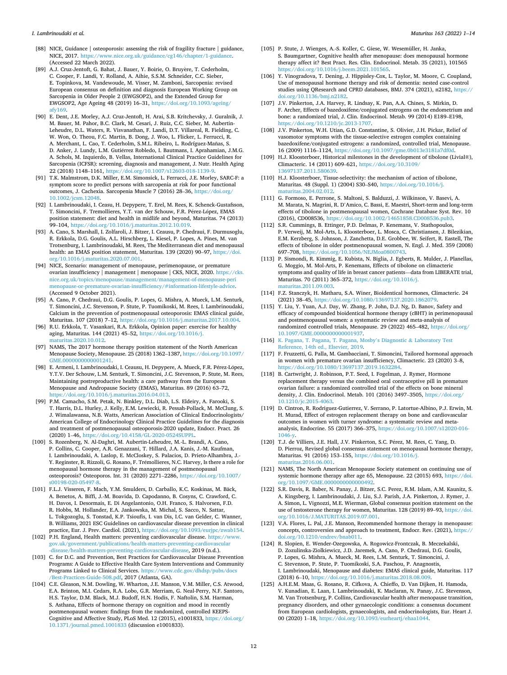- <span id="page-11-0"></span>[88] NICE, Guidance | osteoporosis: assessing the risk of fragility fracture | guidance, NICE, 2017. https://www.nice.org.uk/guidance/cg146/chapter/1-guid (Accessed 22 March 2022).
- [89] A.J. Cruz-Jentoft, G. Bahat, J. Bauer, Y. Boirie, O. Bruyère, T. Cederholm, C. Cooper, F. Landi, Y. Rolland, A. Aihie, S.S.M. Schneider, C.C. Sieber, E. Topinkova, M. Vandewoude, M. Visser, M. Zamboni, Sarcopenia: revised European consensus on definition and diagnosis European Working Group on Sarcopenia in Older People 2 (EWGSOP2), and the Extended Group for EWGSOP2, Age Ageing 48 (2019) 16–31, [https://doi.org/10.1093/ageing/](https://doi.org/10.1093/ageing/afy169)  [afy169.](https://doi.org/10.1093/ageing/afy169)
- [90] E. Dent, J.E. Morley, A.J. Cruz-Jentoft, H. Arai, S.B. Kritchevsky, J. Guralnik, J. M. Bauer, M. Pahor, B.C. Clark, M. Cesari, J. Ruiz, C.C. Sieber, M. Aubertin-Leheudre, D.L. Waters, R. Visvanathan, F. Landi, D.T. Villareal, R. Fielding, C. W. Won, O. Theou, F.C. Martin, B. Dong, J. Woo, L. Flicker, L. Ferrucci, R. A. Merchant, L. Cao, T. Cederholm, S.M.L. Ribeiro, L. Rodríguez-Mañas, S. D. Anker, J. Lundy, L.M. Gutiérrez Robledo, I. Bautmans, I. Aprahamian, J.M.G. A. Schols, M. Izquierdo, B. Vellas, International Clinical Practice Guidelines for Sarcopenia (ICFSR): screening, diagnosis and management, J. Nutr. Health Aging 22 (2018) 1148–1161, [https://doi.org/10.1007/s12603-018-1139-9.](https://doi.org/10.1007/s12603-018-1139-9)
- [91] T.K. Malmstrom, D.K. Miller, E.M. Simonsick, L. Ferrucci, J.E. Morley, SARC-F: a symptom score to predict persons with sarcopenia at risk for poor functional outcomes, J. Cachexia. Sarcopenia Muscle 7 (2016) 28–36, [https://doi.org/](https://doi.org/10.1002/jcsm.12048)  [10.1002/jcsm.12048](https://doi.org/10.1002/jcsm.12048).
- [92] I. Lambrinoudaki, I. Ceasu, H. Depypere, T. Erel, M. Rees, K. Schenck-Gustafsson, T. Simoncini, F. Tremollieres, Y.T. van der Schouw, F.R. Pérez-López, EMAS position statement: diet and health in midlife and beyond, Maturitas. 74 (2013) **.**<br>**99–104,** <https://doi.org/10.1016/j.maturitas.2012.10.019>.
- [93] A. Cano, S. Marshall, I. Zolfaroli, J. Bitzer, I. Ceausu, P. Chedraui, F. Durmusoglu, R. Erkkola, D.G. Goulis, A.L. Hirschberg, L. Kiesel, P. Lopes, A. Pines, M. van Trotsenburg, I. Lambrinoudaki, M. Rees, The Mediterranean diet and menopausal health: an EMAS position statement, Maturitas. 139 (2020) 90–97, [https://doi.](https://doi.org/10.1016/j.maturitas.2020.07.001)  [org/10.1016/j.maturitas.2020.07.001](https://doi.org/10.1016/j.maturitas.2020.07.001).
- [94] NICE, Scenario: management of menopause, perimenopause, or premature ovarian insufficiency | management | menopause | CKS, NICE, 2020. [https://cks.](https://cks.nice.org.uk/topics/menopause/management/management-of-menopause-perimenopause-or-premature-ovarian-insufficiency/#information-lifestyle-advice)  [nice.org.uk/topics/menopause/management/management-of-menopause-peri](https://cks.nice.org.uk/topics/menopause/management/management-of-menopause-perimenopause-or-premature-ovarian-insufficiency/#information-lifestyle-advice)  [menopause-or-premature-ovarian-insufficiency/#information-lifestyle-advice](https://cks.nice.org.uk/topics/menopause/management/management-of-menopause-perimenopause-or-premature-ovarian-insufficiency/#information-lifestyle-advice). (Accessed 9 October 2021).
- [95] A. Cano, P. Chedraui, D.G. Goulis, P. Lopes, G. Mishra, A. Mueck, L.M. Senturk, T. Simoncini, J.C. Stevenson, P. Stute, P. Tuomikoski, M. Rees, I. Lambrinoudaki, Calcium in the prevention of postmenopausal osteoporosis: EMAS clinical guide, Maturitas. 107 (2018) 7–12, [https://doi.org/10.1016/j.maturitas.2017.10.004.](https://doi.org/10.1016/j.maturitas.2017.10.004)
- [96] R.U. Erkkola, T. Vasankari, R.A. Erkkola, Opinion paper: exercise for healthy aging, Maturitas. 144 (2021) 45–52, [https://doi.org/10.1016/j.](https://doi.org/10.1016/j.maturitas.2020.10.012)  [maturitas.2020.10.012.](https://doi.org/10.1016/j.maturitas.2020.10.012)
- [97] NAMS, The 2017 hormone therapy position statement of the North American Menopause Society, Menopause. 25 (2018) 1362–1387, [https://doi.org/10.1097/](https://doi.org/10.1097/GME.0000000000001241)  [GME.0000000000001241](https://doi.org/10.1097/GME.0000000000001241).
- [98] E. Armeni, I. Lambrinoudaki, I. Ceausu, H. Depypere, A. Mueck, F.R. Pérez-López, Y.T.V. Der Schouw, L.M. Senturk, T. Simoncini, J.C. Stevenson, P. Stute, M. Rees, Maintaining postreproductive health: a care pathway from the European Menopause and Andropause Society (EMAS), Maturitas. 89 (2016) 63–72, <https://doi.org/10.1016/j.maturitas.2016.04.013>.
- [99] P.M. Camacho, S.M. Petak, N. Binkley, D.L. Diab, L.S. Eldeiry, A. Farooki, S. T. Harris, D.L. Hurley, J. Kelly, E.M. Lewiecki, R. Pessah-Pollack, M. McClung, S. J. Wimalawansa, N.B. Watts, American Association of Clinical Endocrinologists/ American College of Endocrinology Clinical Practice Guidelines for the diagnosis and treatment of postmenopausal osteoporosis-2020 update, Endocr. Pract. 26 (2020) 1–46,<https://doi.org/10.4158/GL-2020-0524SUPPL>.
- [100] S. Rozenberg, N. Al-Daghri, M. Aubertin-Leheudre, M.-L. Brandi, A. Cano, P. Collins, C. Cooper, A.R. Genazzani, T. Hillard, J.A. Kanis, J.-M. Kaufman, I. Lambrinoudaki, A. Laslop, E. McCloskey, S. Palacios, D. Prieto-Alhambra, J.- Y. Reginster, R. Rizzoli, G. Rosano, F. Trémollieres, N.C. Harvey, Is there a role for menopausal hormone therapy in the management of postmenopausal osteoporosis? Osteoporos. Int. 31 (2020) 2271–2286, [https://doi.org/10.1007/](https://doi.org/10.1007/s00198-020-05497-8) [s00198-020-05497-8.](https://doi.org/10.1007/s00198-020-05497-8)
- [101] F.L.J. Visseren, F. Mach, Y.M. Smulders, D. Carballo, K.C. Koskinas, M. Bäck, A. Benetos, A. Biffi, J.-M. Boavida, D. Capodanno, B. Cosyns, C. Crawford, C. H. Davos, I. Desormais, E. Di Angelantonio, O.H. Franco, S. Halvorsen, F.D. R. Hobbs, M. Hollander, E.A. Jankowska, M. Michal, S. Sacco, N. Sattar, L. Tokgozoglu, S. Tonstad, K.P. Tsioufis, I. van Dis, I.C. van Gelder, C. Wanner, B. Williams, 2021 ESC Guidelines on cardiovascular disease prevention in clinical ractice, Eur. J. Prev. Cardiol. (2021), [https://doi.org/10.1093/eurjpc/zwab154.](https://doi.org/10.1093/eurjpc/zwab154)
- [102] P.H. England, Health matters: preventing cardiovascular disease. [https://www.](https://www.gov.uk/government/publications/health-matters-preventing-cardiovascular-disease/health-matters-preventing-cardiovascular-disease) [gov.uk/government/publications/health-matters-preventing-cardiovascular](https://www.gov.uk/government/publications/health-matters-preventing-cardiovascular-disease/health-matters-preventing-cardiovascular-disease)  [-disease/health-matters-preventing-cardiovascular-disease,](https://www.gov.uk/government/publications/health-matters-preventing-cardiovascular-disease/health-matters-preventing-cardiovascular-disease) 2019 (n.d.).
- [103] C. for D.C. and Prevention, Best Practices for Cardiovascular Disease Prevention Programs: A Guide to Effective Health Care System Interventions and Community Programs Linked to Clinical Services. [https://www.cdc.gov/dhdsp/pubs/docs](https://www.cdc.gov/dhdsp/pubs/docs/Best-Practices-Guide-508.pdf) [/Best-Practices-Guide-508.pdf](https://www.cdc.gov/dhdsp/pubs/docs/Best-Practices-Guide-508.pdf), 2017 (Atlanta, GA).
- [104] C.E. Gleason, N.M. Dowling, W. Wharton, J.E. Manson, V.M. Miller, C.S. Atwood, E.A. Brinton, M.I. Cedars, R.A. Lobo, G.R. Merriam, G. Neal-Perry, N.F. Santoro, H.S. Taylor, D.M. Black, M.J. Budoff, H.N. Hodis, F. Naftolin, S.M. Harman, S. Asthana, Effects of hormone therapy on cognition and mood in recently postmenopausal women: findings from the randomized, controlled KEEPS-Cognitive and Affective Study, PLoS Med. 12 (2015), e1001833, [https://doi.org/](https://doi.org/10.1371/journal.pmed.1001833)  [10.1371/journal.pmed.1001833](https://doi.org/10.1371/journal.pmed.1001833) (discussion e1001833).
- [105] P. Stute, J. Wienges, A.-S. Koller, C. Giese, W. Wesemüller, H. Janka, S. Baumgartner, Cognitive health after menopause: does menopausal hormone therapy affect it? Best Pract. Res. Clin. Endocrinol. Metab. 35 (2021), 101565 [https://doi.org/10.1016/j.beem.2021.101565.](https://doi.org/10.1016/j.beem.2021.101565)
- [106] Y. Vinogradova, T. Dening, J. Hippisley-Cox, L. Taylor, M. Moore, C. Coupland, Use of menopausal hormone therapy and risk of dementia: nested case-control studies using QResearch and CPRD databases, BMJ. 374 (2021), n2182, https: [doi.org/10.1136/bmj.n2182](https://doi.org/10.1136/bmj.n2182).
- [107] J.V. Pinkerton, J.A. Harvey, R. Lindsay, K. Pan, A.A. Chines, S. Mirkin, D. F. Archer, Effects of bazedoxifene/conjugated estrogens on the endometrium and bone: a randomized trial, J. Clin. Endocrinol. Metab. 99 (2014) E189–E198, s://doi.org/10.1210/jc.2013-1707.
- [108] J.V. Pinkerton, W.H. Utian, G.D. Constantine, S. Olivier, J.H. Pickar, Relief of vasomotor symptoms with the tissue-selective estrogen complex containing bazedoxifene/conjugated estrogens: a randomized, controlled trial, Menopause. 16 (2009) 1116–1124, [https://doi.org/10.1097/gme.0b013e3181a7df0d.](https://doi.org/10.1097/gme.0b013e3181a7df0d)
- [109] H.J. Kloosterboer, Historical milestones in the development of tibolone (Livial®), Climacteric. 14 (2011) 609–621, [https://doi.org/10.3109/](https://doi.org/10.3109/13697137.2011.580639)  [13697137.2011.580639.](https://doi.org/10.3109/13697137.2011.580639)
- [110] H.J. Kloosterboer, Tissue-selectivity: the mechanism of action of tibolone, Maturitas. 48 (Suppl. 1) (2004) S30–S40, [https://doi.org/10.1016/j.](https://doi.org/10.1016/j.maturitas.2004.02.012) [maturitas.2004.02.012](https://doi.org/10.1016/j.maturitas.2004.02.012).
- [111] G. Formoso, E. Perrone, S. Maltoni, S. Balduzzi, J. Wilkinson, V. Basevi, A. M. Marata, N. Magrini, R. D'Amico, C. Bassi, E. Maestri, Short-term and long-term effects of tibolone in postmenopausal women, Cochrane Database Syst. Rev. 10 (2016), CD008536, <https://doi.org/10.1002/14651858.CD008536.pub3>.
- [112] S.R. Cummings, B. Ettinger, P.D. Delmas, P. Kenemans, V. Stathopoulos, P. Verweij, M. Mol-Arts, L. Kloosterboer, L. Mosca, C. Christiansen, J. Bilezikian, E.M. Kerzberg, S. Johnson, J. Zanchetta, D.E. Grobbee, W. Seifert, R. Eastell, The effects of tibolone in older postmenopausal women, N. Engl. J. Med. 359 (2008) 697–708,<https://doi.org/10.1056/NEJMoa0800743>.
- [113] P. Sismondi, R. Kimmig, E. Kubista, N. Biglia, J. Egberts, R. Mulder, J. Planellas, G. Moggio, M. Mol-Arts, P. Kenemans, Effects of tibolone on climacteric symptoms and quality of life in breast cancer patients—data from LIBERATE trial, Maturitas. 70 (2011) 365–372, [https://doi.org/10.1016/j.](https://doi.org/10.1016/j.maturitas.2011.09.003) [maturitas.2011.09.003](https://doi.org/10.1016/j.maturitas.2011.09.003).
- [114] F.Z. Stanczyk, H. Matharu, S.A. Winer, Bioidentical hormones, Climacteric. 24 (2021) 38–45,<https://doi.org/10.1080/13697137.2020.1862079>.
- [115] Y. Liu, Y. Yuan, A.J. Day, W. Zhang, P. John, D.J. Ng, D. Banov, Safety and efficacy of compounded bioidentical hormone therapy (cBHT) in perimenopausal and postmenopausal women: a systematic review and meta-analysis of randomized controlled trials, Menopause. 29 (2022) 465–482, [https://doi.org/](https://doi.org/10.1097/GME.0000000000001937)  [10.1097/GME.0000000000001937](https://doi.org/10.1097/GME.0000000000001937).
- [116] [K. Pagana, T. Pagana, T. Pagana, Mosby](http://refhub.elsevier.com/S0378-5122(22)00090-1/rf0580)'s Diagnostic & Laboratory Test [Reference, 14th ed., Elsevier, 2019](http://refhub.elsevier.com/S0378-5122(22)00090-1/rf0580).
- [117] F. Fruzzetti, G. Palla, M. Gambacciani, T. Simoncini, Tailored hormonal approach in women with premature ovarian insufficiency, Climacteric. 23 (2020) 3–8, <https://doi.org/10.1080/13697137.2019.1632284>.
- [118] B. Cartwright, J. Robinson, P.T. Seed, I. Fogelman, J. Rymer, Hormone replacement therapy versus the combined oral contraceptive pill in premature ovarian failure: a randomized controlled trial of the effects on bone mineral density, J. Clin. Endocrinol. Metab. 101 (2016) 3497–3505, [https://doi.org/](https://doi.org/10.1210/jc.2015-4063)  [10.1210/jc.2015-4063.](https://doi.org/10.1210/jc.2015-4063)
- [119] D. Cintron, R. Rodriguez-Gutierrez, V. Serrano, P. Latortue-Albino, P.J. Erwin, M. H. Murad, Effect of estrogen replacement therapy on bone and cardiovascular outcomes in women with turner syndrome: a systematic review and metaanalysis, Endocrine. 55 (2017) 366–375, [https://doi.org/10.1007/s12020-016-](https://doi.org/10.1007/s12020-016-1046-y)  [1046-y.](https://doi.org/10.1007/s12020-016-1046-y)
- [120] T.J. de Villiers, J.E. Hall, J.V. Pinkerton, S.C. Pérez, M. Rees, C. Yang, D. D. Pierroz, Revised global consensus statement on menopausal hormone therapy, Maturitas. 91 (2016) 153–155, [https://doi.org/10.1016/j.](https://doi.org/10.1016/j.maturitas.2016.06.001) [maturitas.2016.06.001](https://doi.org/10.1016/j.maturitas.2016.06.001).
- [121] NAMS, The North American Menopause Society statement on continuing use of systemic hormone therapy after age 65, Menopause. 22 (2015) 693, [https://doi.](https://doi.org/10.1097/GME.0000000000000492)  [org/10.1097/GME.0000000000000492.](https://doi.org/10.1097/GME.0000000000000492)
- [122] S.R. Davis, R. Baber, N. Panay, J. Bitzer, S.C. Perez, R.M. Islam, A.M. Kaunitz, S. A. Kingsberg, I. Lambrinoudaki, J. Liu, S.J. Parish, J.A. Pinkerton, J. Rymer, J. A. Simon, L. Vignozzi, M.E. Wierman, Global consensus position statement on the use of testosterone therapy for women, Maturitas. 128 (2019) 89–93, [https://doi.](https://doi.org/10.1016/J.MATURITAS.2019.07.001)  [org/10.1016/J.MATURITAS.2019.07.001](https://doi.org/10.1016/J.MATURITAS.2019.07.001).
- [123] V.A. Flores, L. Pal, J.E. Manson, Recommended hormone therapy in menopause: concepts, controversies and approach to treatment, Endocr. Rev. (2021), [https://](https://doi.org/10.1210/endrev/bnab011)  [doi.org/10.1210/endrev/bnab011.](https://doi.org/10.1210/endrev/bnab011)
- [124] R. Slopien, E. Wender-Ozegowska, A. Rogowicz-Frontczak, B. Meczekalski, D. Zozulinska-Ziolkiewicz, J.D. Jaremek, A. Cano, P. Chedraui, D.G. Goulis, P. Lopes, G. Mishra, A. Mueck, M. Rees, L.M. Senturk, T. Simoncini, J. C. Stevenson, P. Stute, P. Tuomikoski, S.A. Paschou, P. Anagnostis, I. Lambrinoudaki, Menopause and diabetes: EMAS clinical guide, Maturitas. 117 (2018) 6–10, [https://doi.org/10.1016/j.maturitas.2018.08.009.](https://doi.org/10.1016/j.maturitas.2018.08.009)
- [125] A.H.E.M. Maas, G. Rosano, R. Cifkova, A. Chieffo, D. Van Dijken, H. Hamoda, V. Kunadian, E. Laan, I. Lambrinoudaki, K. Maclaran, N. Panay, J.C. Stevenson, M. Van Trotsenburg, P. Collins, Cardiovascular health after menopause transition, pregnancy disorders, and other gynaecologic conditions: a consensus document from European cardiologists, gynaecologists, and endocrinologists, Eur. Heart J. 00 (2020) 1–18, [https://doi.org/10.1093/eurheartj/ehaa1044.](https://doi.org/10.1093/eurheartj/ehaa1044)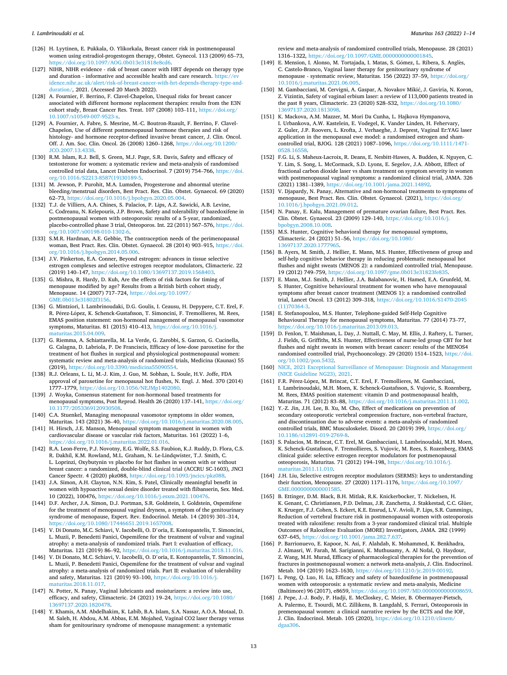- <span id="page-12-0"></span>[126] H. Lyytinen, E. Pukkala, O. Ylikorkala, Breast cancer risk in postmenopausal women using estradiol-progestogen therapy, Obstet. Gynecol. 113 (2009) 65–73, [https://doi.org/10.1097/AOG.0b013e31818e8cd6.](https://doi.org/10.1097/AOG.0b013e31818e8cd6)
- [127] NIHR, NIHR evidence risk of breast cancer with HRT depends on therapy type and duration - informative and accessible health and care research. https:// [idence.nihr.ac.uk/alert/risk-of-breast-cancer-with-hrt-depends-therapy-type-and](https://evidence.nihr.ac.uk/alert/risk-of-breast-cancer-with-hrt-depends-therapy-type-and-duration/)[duration/](https://evidence.nihr.ac.uk/alert/risk-of-breast-cancer-with-hrt-depends-therapy-type-and-duration/), 2021. (Accessed 20 March 2022).
- [128] A. Fournier, F. Berrino, F. Clavel-Chapelon, Unequal risks for breast cancer associated with different hormone replacement therapies: results from the E3N cohort study, Breast Cancer Res. Treat. 107 (2008) 103–111, [https://doi.org/](https://doi.org/10.1007/s10549-007-9523-x) [10.1007/s10549-007-9523-x](https://doi.org/10.1007/s10549-007-9523-x).
- [129] A. Fournier, A. Fabre, S. Mesrine, M.-C. Boutron-Ruault, F. Berrino, F. Clavel-Chapelon, Use of different postmenopausal hormone therapies and risk of histology- and hormone receptor-defined invasive breast cancer, J. Clin. Oncol. Off. J. Am. Soc. Clin. Oncol. 26 (2008) 1260–1268, [https://doi.org/10.1200/](https://doi.org/10.1200/JCO.2007.13.4338)  [JCO.2007.13.4338.](https://doi.org/10.1200/JCO.2007.13.4338)
- [130] R.M. Islam, R.J. Bell, S. Green, M.J. Page, S.R. Davis, Safety and efficacy of testosterone for women: a systematic review and meta-analysis of randomised controlled trial data, Lancet Diabetes Endocrinol. 7 (2019) 754–766, [https://doi.](https://doi.org/10.1016/S2213-8587(19)30189-5)  [org/10.1016/S2213-8587\(19\)30189-5](https://doi.org/10.1016/S2213-8587(19)30189-5).
- [131] M. Jewson, P. Purohit, M.A. Lumsden, Progesterone and abnormal uterine bleeding/menstrual disorders, Best Pract. Res. Clin. Obstet. Gynaecol. 69 (2020) 62–73, [https://doi.org/10.1016/j.bpobgyn.2020.05.004.](https://doi.org/10.1016/j.bpobgyn.2020.05.004)
- [132] T.J. de Villiers, A.A. Chines, S. Palacios, P. Lips, A.Z. Sawicki, A.B. Levine, C. Codreanu, N. Kelepouris, J.P. Brown, Safety and tolerability of bazedoxifene in postmenopausal women with osteoporosis: results of a 5-year, randomized, placebo-controlled phase 3 trial, Osteoporos. Int. 22 (2011) 567–576, [https://doi.](https://doi.org/10.1007/s00198-010-1302-6)  [org/10.1007/s00198-010-1302-6.](https://doi.org/10.1007/s00198-010-1302-6)
- [133] S.M.R. Hardman, A.E. Gebbie, The contraception needs of the perimenopausal woman, Best Pract. Res. Clin. Obstet. Gynaecol. 28 (2014) 903–915, [https://doi.](https://doi.org/10.1016/j.bpobgyn.2014.05.006)   $\frac{1}{2}$ /10.1016/j.bpobgyn.2014.05.006.
- [134] J.V. Pinkerton, E.A. Conner, Beyond estrogen: advances in tissue selective estrogen complexes and selective estrogen receptor modulators, Climacteric. 22 (2019) 140–147, <https://doi.org/10.1080/13697137.2019.1568403>.
- [135] G. Mishra, R. Hardy, D. Kuh, Are the effects of risk factors for timing of menopause modified by age? Results from a British birth cohort study, Menopause. 14 (2007) 717–724, [https://doi.org/10.1097/](https://doi.org/10.1097/GME.0b013e31802f3156)  [GME.0b013e31802f3156.](https://doi.org/10.1097/GME.0b013e31802f3156)
- [136] G. Mintziori, I. Lambrinoudaki, D.G. Goulis, I. Ceausu, H. Depypere, C.T. Erel, F. R. Pérez-López, K. Schenck-Gustafsson, T. Simoncini, F. Tremollieres, M. Rees, EMAS position statement: non-hormonal management of menopausal vasomotor symptoms, Maturitas. 81 (2015) 410–413, [https://doi.org/10.1016/j.](https://doi.org/10.1016/j.maturitas.2015.04.009)  [maturitas.2015.04.009](https://doi.org/10.1016/j.maturitas.2015.04.009).
- [137] G. Riemma, A. Schiattarella, M. La Verde, G. Zarobbi, S. Garzon, G. Cucinella, G. Calagna, D. Labriola, P. De Franciscis, Efficacy of low-dose paroxetine for the treatment of hot flushes in surgical and physiological postmenopausal women: systematic review and meta-analysis of randomized trials, Medicina (Kaunas) 55 (2019), <https://doi.org/10.3390/medicina55090554>.
- [138] R.J. Orleans, L. Li, M.-J. Kim, J. Guo, M. Sobhan, L. Soule, H.V. Joffe, FDA approval of paroxetine for menopausal hot flushes, N. Engl. J. Med. 370 (2014) 1777–1779, <https://doi.org/10.1056/NEJMp1402080>.
- [139] J. Woyka, Consensus statement for non-hormonal based treatments for menopausal symptoms, Post Reprod. Health 26 (2020) 137–141, [https://doi.org/](https://doi.org/10.1177/2053369120930508)  [10.1177/2053369120930508.](https://doi.org/10.1177/2053369120930508)
- [140] C.A. Stuenkel, Managing menopausal vasomotor symptoms in older women, Maturitas. 143 (2021) 36–40,<https://doi.org/10.1016/j.maturitas.2020.08.005>.
- [141] H. Hirsch, J.E. Manson, Menopausal symptom management in women with cardiovascular disease or vascular risk factors, Maturitas. 161 (2022) 1–6, [https://doi.org/10.1016/j.maturitas.2022.01.016.](https://doi.org/10.1016/j.maturitas.2022.01.016)
- [142] R.A. Leon-Ferre, P.J. Novotny, E.G. Wolfe, S.S. Faubion, K.J. Ruddy, D. Flora, C.S. R. Dakhil, K.M. Rowland, M.L. Graham, N. Le-Lindqwister, T.J. Smith, C. L. Loprinzi, Oxybutynin vs placebo for hot flashes in women with or without breast cancer: a randomized, double-blind clinical trial (ACCRU SC-1603), JNCI Cancer Spectr. 4 (2020) pkz088, [https://doi.org/10.1093/jncics/pkz088.](https://doi.org/10.1093/jncics/pkz088)
- [143] J.A. Simon, A.H. Clayton, N.N. Kim, S. Patel, Clinically meaningful benefit in women with hypoactive sexual desire disorder treated with flibanserin, Sex. Med. 10 (2022), 100476, [https://doi.org/10.1016/j.esxm.2021.100476.](https://doi.org/10.1016/j.esxm.2021.100476)
- [144] D.F. Archer, J.A. Simon, D.J. Portman, S.R. Goldstein, I. Goldstein, Ospemifene for the treatment of menopausal vaginal dryness, a symptom of the genitourinary syndrome of menopause, Expert. Rev. Endocrinol. Metab. 14 (2019) 301–314, <https://doi.org/10.1080/17446651.2019.1657008>.
- [145] V. Di Donato, M.C. Schiavi, V. Iacobelli, O. D'oria, E. Kontopantelis, T. Simoncini, L. Muzii, P. Benedetti Panici, Ospemifene for the treatment of vulvar and vaginal atrophy: a meta-analysis of randomized trials. Part I: evaluation of efficacy, Maturitas. 121 (2019) 86–92,<https://doi.org/10.1016/j.maturitas.2018.11.016>.
- [146] V. Di Donato, M.C. Schiavi, V. Iacobelli, O. D'oria, E. Kontopantelis, T. Simoncini, L. Muzii, P. Benedetti Panici, Ospemifene for the treatment of vulvar and vaginal atrophy: a meta-analysis of randomized trials. Part II: evaluation of tolerability and safety, Maturitas. 121 (2019) 93–100, [https://doi.org/10.1016/j.](https://doi.org/10.1016/j.maturitas.2018.11.017) aturitas.2018.11.017.
- [147] N. Potter, N. Panay, Vaginal lubricants and moisturizers: a review into use, efficacy, and safety, Climacteric. 24 (2021) 19–24, [https://doi.org/10.1080/](https://doi.org/10.1080/13697137.2020.1820478) [13697137.2020.1820478.](https://doi.org/10.1080/13697137.2020.1820478)
- [148] Y. Khamis, A.M. Abdelhakim, K. Labib, B.A. Islam, S.A. Nassar, A.O.A. Motaal, D. M. Saleh, H. Abdou, A.M. Abbas, E.M. Mojahed, Vaginal CO2 laser therapy versus sham for genitourinary syndrome of menopause management: a systematic

review and meta-analysis of randomized controlled trials, Menopause. 28 (2021) 1316–1322, <https://doi.org/10.1097/GME.0000000000001845>.

- [149] E. Mension, I. Alonso, M. Tortajada, I. Matas, S. Gómez, L. Ribera, S. Anglès, C. Castelo-Branco, Vaginal laser therapy for genitourinary syndrome of menopause - systematic review, Maturitas. 156 (2022) 37–59, [https://doi.org/](https://doi.org/10.1016/j.maturitas.2021.06.005) [10.1016/j.maturitas.2021.06.005](https://doi.org/10.1016/j.maturitas.2021.06.005).
- [150] M. Gambacciani, M. Cervigni, A. Gaspar, A. Novakov Mikić, J. Gaviria, N. Koron, Z. Vizintin, Safety of vaginal erbium laser: a review of 113,000 patients treated in the past 8 years, Climacteric. 23 (2020) S28–S32, [https://doi.org/10.1080/](https://doi.org/10.1080/13697137.2020.1813098) [13697137.2020.1813098](https://doi.org/10.1080/13697137.2020.1813098).
- [151] K. Mackova, A.M. Mazzer, M. Mori Da Cunha, L. Hajkova Hympanova, I. Urbankova, A.W. Kastelein, E. Vodegel, K. Vander Linden, H. Fehervary, Z. Guler, J.P. Roovers, L. Krofta, J. Verhaeghe, J. Deprest, Vaginal Er:YAG laser application in the menopausal ewe model: a randomised estrogen and shamcontrolled trial, BJOG. 128 (2021) 1087–1096, [https://doi.org/10.1111/1471-](https://doi.org/10.1111/1471-0528.16558) [0528.16558.](https://doi.org/10.1111/1471-0528.16558)
- [152] F.G. Li, S. Maheux-Lacroix, R. Deans, E. Nesbitt-Hawes, A. Budden, K. Nguyen, C. Y. Lim, S. Song, L. McCormack, S.D. Lyons, E. Segelov, J.A. Abbott, Effect of fractional carbon dioxide laser vs sham treatment on symptom severity in women with postmenopausal vaginal symptoms: a randomized clinical trial, JAMA. 326 (2021) 1381–1389, <https://doi.org/10.1001/jama.2021.14892>.
- [153] V. Djapardy, N. Panay, Alternative and non-hormonal treatments to symptoms of menopause, Best Pract. Res. Clin. Obstet. Gynaecol. (2021), [https://doi.org/](https://doi.org/10.1016/j.bpobgyn.2021.09.012) [10.1016/j.bpobgyn.2021.09.012.](https://doi.org/10.1016/j.bpobgyn.2021.09.012)
- [154] N. Panay, E. Kalu, Management of premature ovarian failure, Best Pract. Res. Clin. Obstet. Gynaecol. 23 (2009) 129–140, [https://doi.org/10.1016/j.](https://doi.org/10.1016/j.bpobgyn.2008.10.008)  [bpobgyn.2008.10.008.](https://doi.org/10.1016/j.bpobgyn.2008.10.008)
- [155] M.S. Hunter, Cognitive behavioral therapy for menopausal symptoms, Climacteric. 24 (2021) 51–56, [https://doi.org/10.1080/](https://doi.org/10.1080/13697137.2020.1777965)  [13697137.2020.1777965](https://doi.org/10.1080/13697137.2020.1777965).
- [156] B. Ayers, M. Smith, J. Hellier, E. Mann, M.S. Hunter, Effectiveness of group and self-help cognitive behavior therapy in reducing problematic menopausal hot flushes and night sweats (MENOS 2): a randomized controlled trial, Menopause. 19 (2012) 749–759, <https://doi.org/10.1097/gme.0b013e31823fe835>.
- [157] E. Mann, M.J. Smith, J. Hellier, J.A. Balabanovic, H. Hamed, E.A. Grunfeld, M. S. Hunter, Cognitive behavioural treatment for women who have menopausal symptoms after breast cancer treatment (MENOS 1): a randomised controlled trial, Lancet Oncol. 13 (2012) 309–318, [https://doi.org/10.1016/S1470-2045](https://doi.org/10.1016/S1470-2045(11)70364-3)  [\(11\)70364-3](https://doi.org/10.1016/S1470-2045(11)70364-3).
- [158] E. Stefanopoulou, M.S. Hunter, Telephone-guided Self-Help Cognitive Behavioural Therapy for menopausal symptoms, Maturitas. 77 (2014) 73–77, [https://doi.org/10.1016/j.maturitas.2013.09.013.](https://doi.org/10.1016/j.maturitas.2013.09.013)
- [159] D. Fenlon, T. Maishman, L. Day, J. Nuttall, C. May, M. Ellis, J. Raftery, L. Turner, J. Fields, G. Griffiths, M.S. Hunter, Effectiveness of nurse-led group CBT for hot flushes and night sweats in women with breast cancer: results of the MENOS4 randomised controlled trial, Psychooncology. 29 (2020) 1514–1523, [https://doi.](https://doi.org/10.1002/pon.5432)  [org/10.1002/pon.5432](https://doi.org/10.1002/pon.5432).
- [160] [NICE, 2021 Exceptional Surveillance of Menopause: Diagnosis and Management](http://refhub.elsevier.com/S0378-5122(22)00090-1/rf0800) [\(NICE Guideline NG23\), 2021.](http://refhub.elsevier.com/S0378-5122(22)00090-1/rf0800)
- [161] F.R. Pérez-López, M. Brincat, C.T. Erel, F. Tremollieres, M. Gambacciani, I. Lambrinoudaki, M.H. Moen, K. Schenck-Gustafsson, S. Vujovic, S. Rozenberg, M. Rees, EMAS position statement: vitamin D and postmenopausal health, Maturitas. 71 (2012) 83–88, [https://doi.org/10.1016/j.maturitas.2011.11.002.](https://doi.org/10.1016/j.maturitas.2011.11.002)
- [162] Y.-Z. Jin, J.H. Lee, B. Xu, M. Cho, Effect of medications on prevention of secondary osteoporotic vertebral compression fracture, non-vertebral fracture, and discontinuation due to adverse events: a meta-analysis of randomized controlled trials, BMC Musculoskelet. Disord. 20 (2019) 399, [https://doi.org/](https://doi.org/10.1186/s12891-019-2769-8) [10.1186/s12891-019-2769-8.](https://doi.org/10.1186/s12891-019-2769-8)
- [163] S. Palacios, M. Brincat, C.T. Erel, M. Gambacciani, I. Lambrinoudaki, M.H. Moen, K. Schenck-Gustafsson, F. Tremollieres, S. Vujovic, M. Rees, S. Rozenberg, EMAS clinical guide: selective estrogen receptor modulators for postmenopausal osteoporosis, Maturitas. 71 (2012) 194–198, [https://doi.org/10.1016/j.](https://doi.org/10.1016/j.maturitas.2011.11.010)  [maturitas.2011.11.010](https://doi.org/10.1016/j.maturitas.2011.11.010).
- [164] J.H. Liu, Selective estrogen receptor modulators (SERMS): keys to understanding their function, Menopause. 27 (2020) 1171–1176, [https://doi.org/10.1097/](https://doi.org/10.1097/GME.0000000000001585)  [GME.0000000000001585.](https://doi.org/10.1097/GME.0000000000001585)
- [165] B. Ettinger, D.M. Black, B.H. Mitlak, R.K. Knickerbocker, T. Nickelsen, H. K. Genant, C. Christiansen, P.D. Delmas, J.R. Zanchetta, J. Stakkestad, C.C. Glüer, K. Krueger, F.J. Cohen, S. Eckert, K.E. Ensrud, L.V. Avioli, P. Lips, S.R. Cummings, Reduction of vertebral fracture risk in postmenopausal women with osteoporosis treated with raloxifene: results from a 3-year randomized clinical trial. Multiple Outcomes of Raloxifene Evaluation (MORE) Investigators, JAMA. 282 (1999) 637–645,<https://doi.org/10.1001/jama.282.7.637>.
- [166] P. Barrionuevo, E. Kapoor, N. Asi, F. Alahdab, K. Mohammed, K. Benkhadra, J. Almasri, W. Farah, M. Sarigianni, K. Muthusamy, A. Al Nofal, Q. Haydour, Z. Wang, M.H. Murad, Efficacy of pharmacological therapies for the prevention of fractures in postmenopausal women: a network meta-analysis, J. Clin. Endocrinol. Metab. 104 (2019) 1623–1630,<https://doi.org/10.1210/jc.2019-00192>.
- [167] L. Peng, Q. Luo, H. Lu, Efficacy and safety of bazedoxifene in postmenopausal women with osteoporosis: a systematic review and meta-analysis, Medicine (Baltimore) 96 (2017), e8659, [https://doi.org/10.1097/MD.0000000000008659.](https://doi.org/10.1097/MD.0000000000008659)
- [168] J. Pepe, J.-J. Body, P. Hadji, E. McCloskey, C. Meier, B. Obermayer-Pietsch, A. Palermo, E. Tsourdi, M.C. Zillikens, B. Langdahl, S. Ferrari, Osteoporosis in premenopausal women: a clinical narrative review by the ECTS and the IOF, J. Clin. Endocrinol. Metab. 105 (2020), [https://doi.org/10.1210/clinem/](https://doi.org/10.1210/clinem/dgaa306) [dgaa306.](https://doi.org/10.1210/clinem/dgaa306)